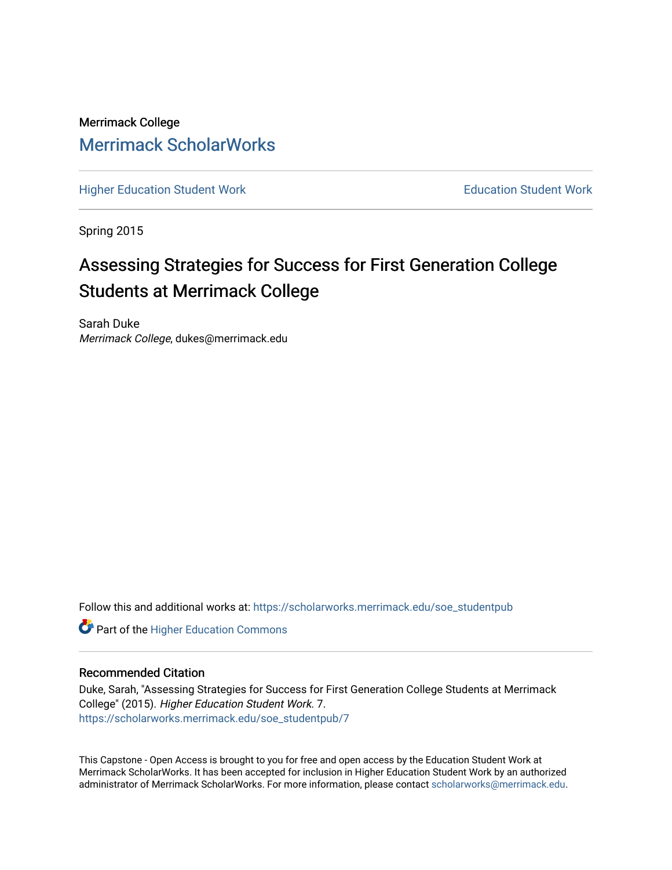Merrimack College [Merrimack ScholarWorks](https://scholarworks.merrimack.edu/) 

[Higher Education Student Work](https://scholarworks.merrimack.edu/soe_studentpub) **Education Student Work** Education Student Work

Spring 2015

# Assessing Strategies for Success for First Generation College Students at Merrimack College

Sarah Duke Merrimack College, dukes@merrimack.edu

Follow this and additional works at: [https://scholarworks.merrimack.edu/soe\\_studentpub](https://scholarworks.merrimack.edu/soe_studentpub?utm_source=scholarworks.merrimack.edu%2Fsoe_studentpub%2F7&utm_medium=PDF&utm_campaign=PDFCoverPages) 

**Part of the Higher Education Commons** 

#### Recommended Citation

Duke, Sarah, "Assessing Strategies for Success for First Generation College Students at Merrimack College" (2015). Higher Education Student Work. 7. [https://scholarworks.merrimack.edu/soe\\_studentpub/7](https://scholarworks.merrimack.edu/soe_studentpub/7?utm_source=scholarworks.merrimack.edu%2Fsoe_studentpub%2F7&utm_medium=PDF&utm_campaign=PDFCoverPages) 

This Capstone - Open Access is brought to you for free and open access by the Education Student Work at Merrimack ScholarWorks. It has been accepted for inclusion in Higher Education Student Work by an authorized administrator of Merrimack ScholarWorks. For more information, please contact [scholarworks@merrimack.edu](mailto:scholarworks@merrimack.edu).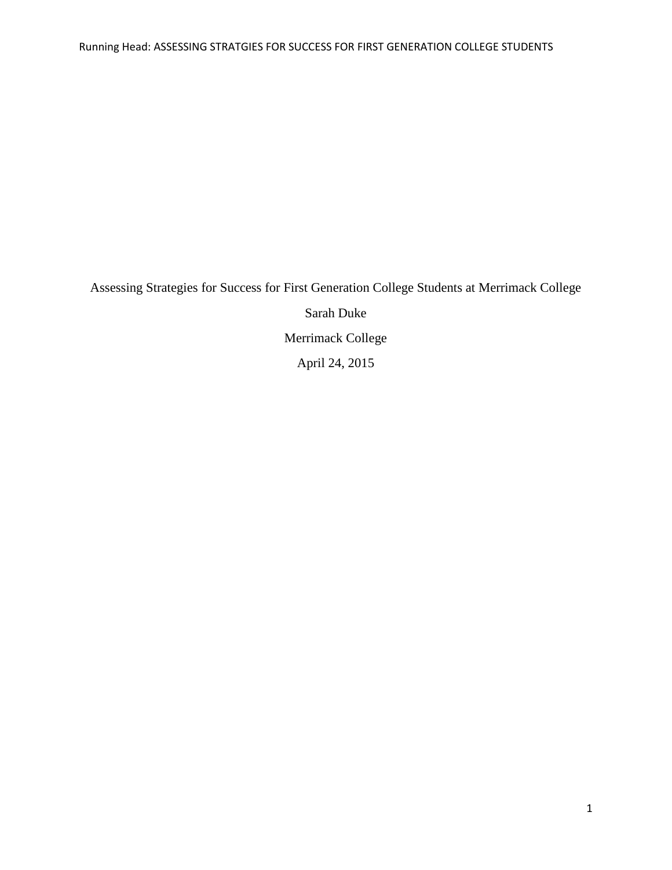Assessing Strategies for Success for First Generation College Students at Merrimack College Sarah Duke Merrimack College April 24, 2015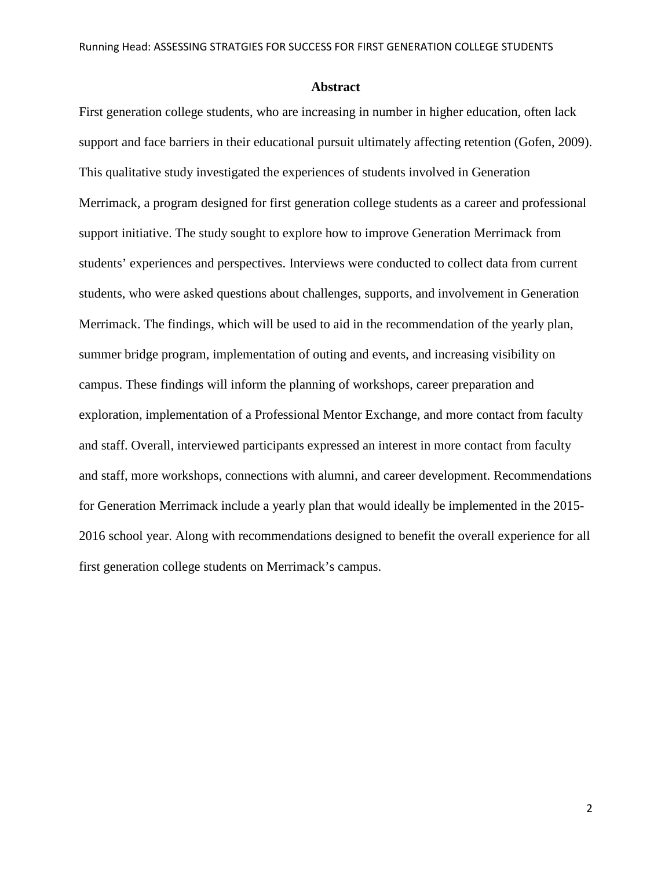#### **Abstract**

First generation college students, who are increasing in number in higher education, often lack support and face barriers in their educational pursuit ultimately affecting retention (Gofen, 2009). This qualitative study investigated the experiences of students involved in Generation Merrimack, a program designed for first generation college students as a career and professional support initiative. The study sought to explore how to improve Generation Merrimack from students' experiences and perspectives. Interviews were conducted to collect data from current students, who were asked questions about challenges, supports, and involvement in Generation Merrimack. The findings, which will be used to aid in the recommendation of the yearly plan, summer bridge program, implementation of outing and events, and increasing visibility on campus. These findings will inform the planning of workshops, career preparation and exploration, implementation of a Professional Mentor Exchange, and more contact from faculty and staff. Overall, interviewed participants expressed an interest in more contact from faculty and staff, more workshops, connections with alumni, and career development. Recommendations for Generation Merrimack include a yearly plan that would ideally be implemented in the 2015- 2016 school year. Along with recommendations designed to benefit the overall experience for all first generation college students on Merrimack's campus.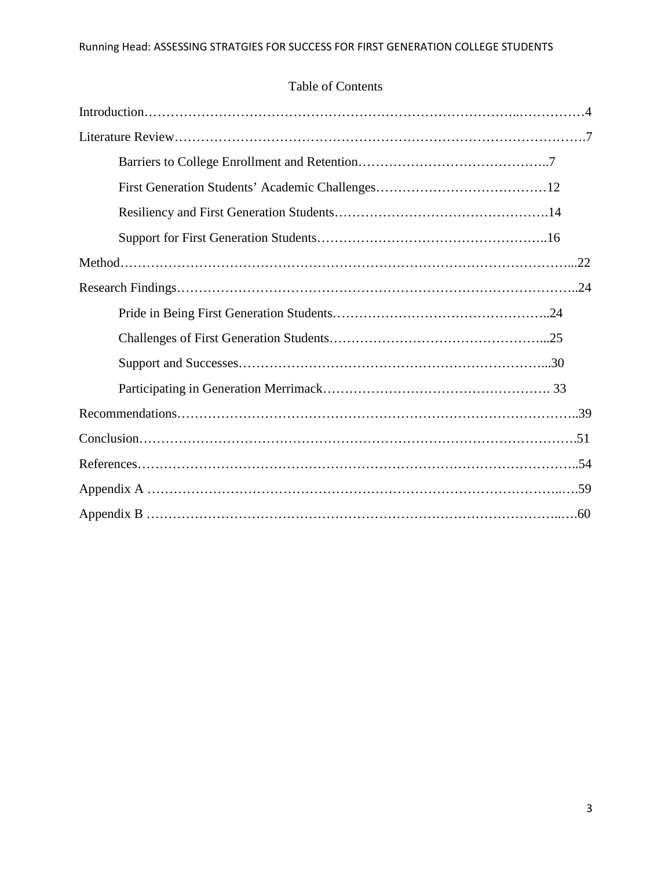## Table of Contents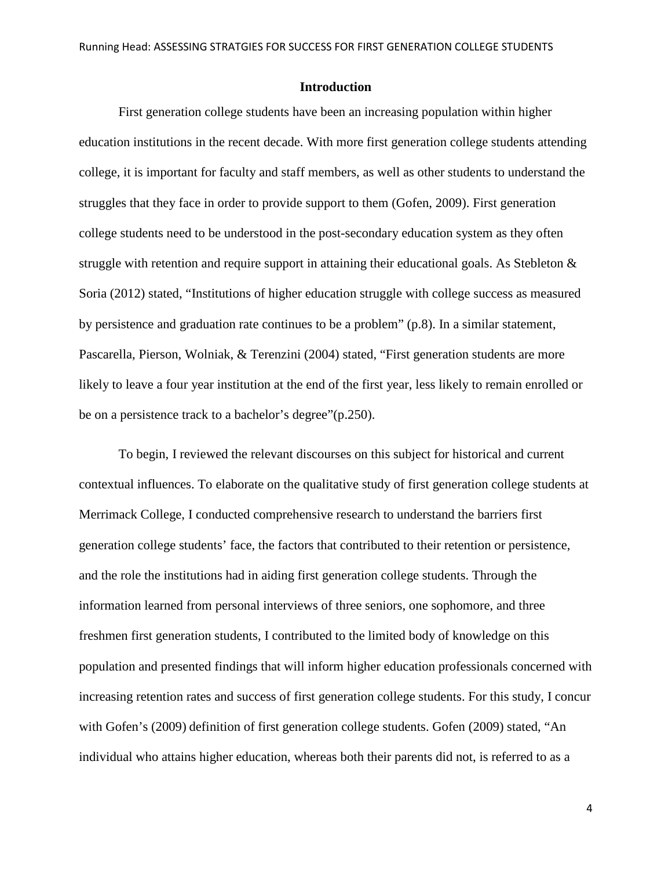#### **Introduction**

First generation college students have been an increasing population within higher education institutions in the recent decade. With more first generation college students attending college, it is important for faculty and staff members, as well as other students to understand the struggles that they face in order to provide support to them (Gofen, 2009). First generation college students need to be understood in the post-secondary education system as they often struggle with retention and require support in attaining their educational goals. As Stebleton  $\&$ Soria (2012) stated, "Institutions of higher education struggle with college success as measured by persistence and graduation rate continues to be a problem" (p.8). In a similar statement, Pascarella, Pierson, Wolniak, & Terenzini (2004) stated, "First generation students are more likely to leave a four year institution at the end of the first year, less likely to remain enrolled or be on a persistence track to a bachelor's degree"(p.250).

To begin, I reviewed the relevant discourses on this subject for historical and current contextual influences. To elaborate on the qualitative study of first generation college students at Merrimack College, I conducted comprehensive research to understand the barriers first generation college students' face, the factors that contributed to their retention or persistence, and the role the institutions had in aiding first generation college students. Through the information learned from personal interviews of three seniors, one sophomore, and three freshmen first generation students, I contributed to the limited body of knowledge on this population and presented findings that will inform higher education professionals concerned with increasing retention rates and success of first generation college students. For this study, I concur with Gofen's (2009) definition of first generation college students. Gofen (2009) stated, "An individual who attains higher education, whereas both their parents did not, is referred to as a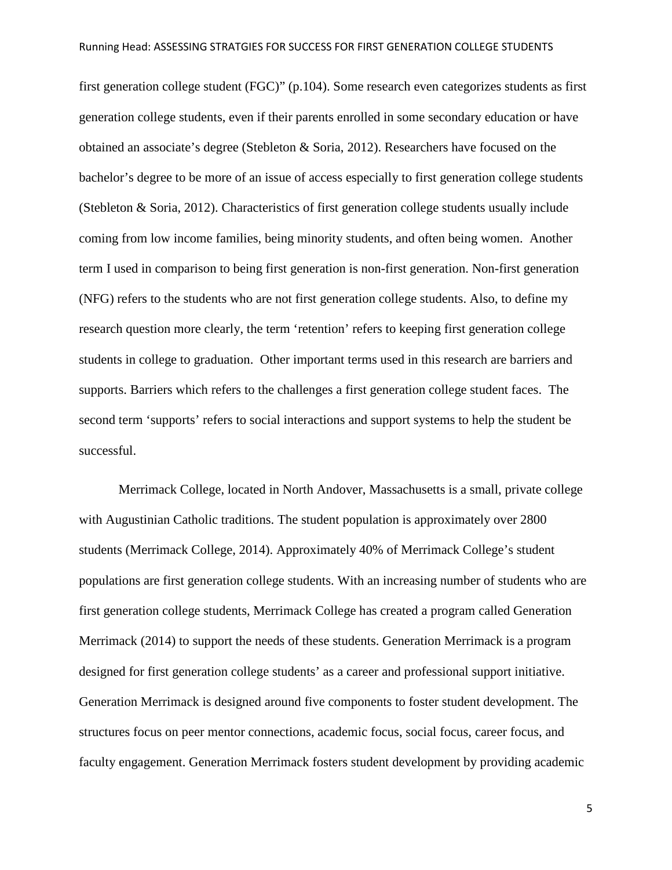first generation college student (FGC)" (p.104). Some research even categorizes students as first generation college students, even if their parents enrolled in some secondary education or have obtained an associate's degree (Stebleton & Soria, 2012). Researchers have focused on the bachelor's degree to be more of an issue of access especially to first generation college students (Stebleton & Soria, 2012). Characteristics of first generation college students usually include coming from low income families, being minority students, and often being women. Another term I used in comparison to being first generation is non-first generation. Non-first generation (NFG) refers to the students who are not first generation college students. Also, to define my research question more clearly, the term 'retention' refers to keeping first generation college students in college to graduation. Other important terms used in this research are barriers and supports. Barriers which refers to the challenges a first generation college student faces. The second term 'supports' refers to social interactions and support systems to help the student be successful.

Merrimack College, located in North Andover, Massachusetts is a small, private college with Augustinian Catholic traditions. The student population is approximately over 2800 students (Merrimack College, 2014). Approximately 40% of Merrimack College's student populations are first generation college students. With an increasing number of students who are first generation college students, Merrimack College has created a program called Generation Merrimack (2014) to support the needs of these students. Generation Merrimack is a program designed for first generation college students' as a career and professional support initiative. Generation Merrimack is designed around five components to foster student development. The structures focus on peer mentor connections, academic focus, social focus, career focus, and faculty engagement. Generation Merrimack fosters student development by providing academic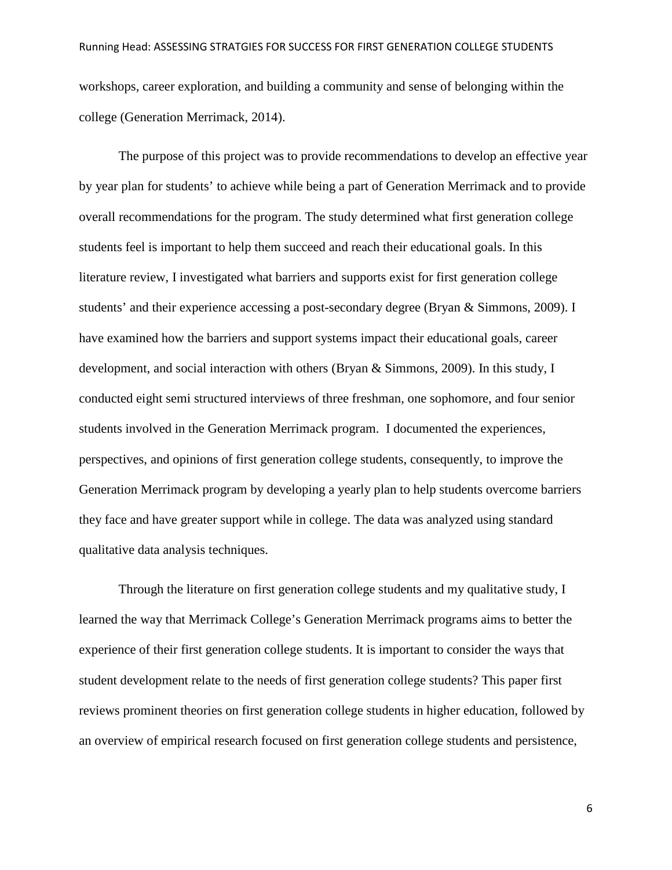workshops, career exploration, and building a community and sense of belonging within the college (Generation Merrimack, 2014).

The purpose of this project was to provide recommendations to develop an effective year by year plan for students' to achieve while being a part of Generation Merrimack and to provide overall recommendations for the program. The study determined what first generation college students feel is important to help them succeed and reach their educational goals. In this literature review, I investigated what barriers and supports exist for first generation college students' and their experience accessing a post-secondary degree (Bryan & Simmons, 2009). I have examined how the barriers and support systems impact their educational goals, career development, and social interaction with others (Bryan & Simmons, 2009). In this study, I conducted eight semi structured interviews of three freshman, one sophomore, and four senior students involved in the Generation Merrimack program. I documented the experiences, perspectives, and opinions of first generation college students, consequently, to improve the Generation Merrimack program by developing a yearly plan to help students overcome barriers they face and have greater support while in college. The data was analyzed using standard qualitative data analysis techniques.

Through the literature on first generation college students and my qualitative study, I learned the way that Merrimack College's Generation Merrimack programs aims to better the experience of their first generation college students. It is important to consider the ways that student development relate to the needs of first generation college students? This paper first reviews prominent theories on first generation college students in higher education, followed by an overview of empirical research focused on first generation college students and persistence,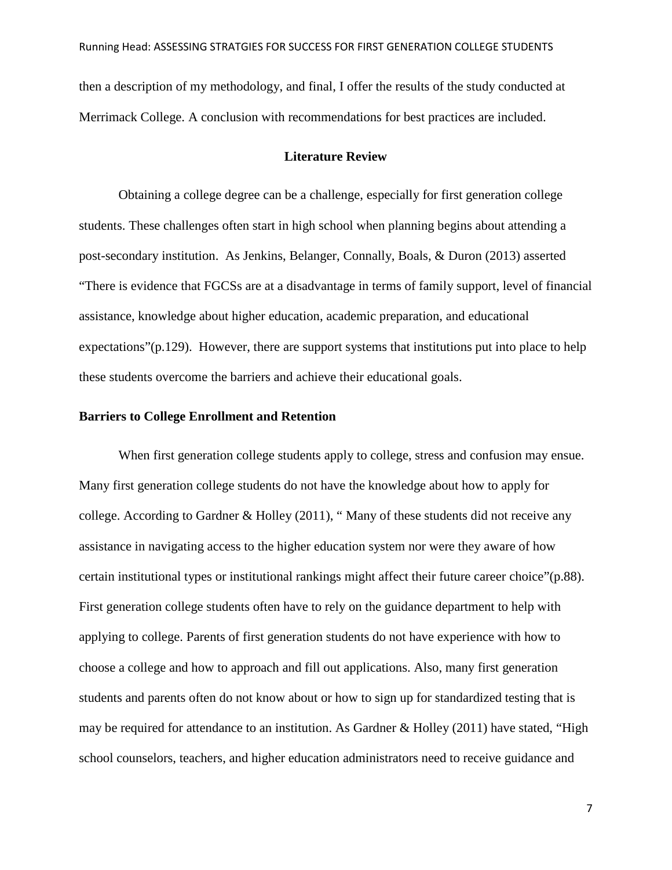then a description of my methodology, and final, I offer the results of the study conducted at Merrimack College. A conclusion with recommendations for best practices are included.

#### **Literature Review**

Obtaining a college degree can be a challenge, especially for first generation college students. These challenges often start in high school when planning begins about attending a post-secondary institution. As Jenkins, Belanger, Connally, Boals, & Duron (2013) asserted "There is evidence that FGCSs are at a disadvantage in terms of family support, level of financial assistance, knowledge about higher education, academic preparation, and educational expectations"(p.129). However, there are support systems that institutions put into place to help these students overcome the barriers and achieve their educational goals.

### **Barriers to College Enrollment and Retention**

When first generation college students apply to college, stress and confusion may ensue. Many first generation college students do not have the knowledge about how to apply for college. According to Gardner & Holley (2011), " Many of these students did not receive any assistance in navigating access to the higher education system nor were they aware of how certain institutional types or institutional rankings might affect their future career choice"(p.88). First generation college students often have to rely on the guidance department to help with applying to college. Parents of first generation students do not have experience with how to choose a college and how to approach and fill out applications. Also, many first generation students and parents often do not know about or how to sign up for standardized testing that is may be required for attendance to an institution. As Gardner & Holley (2011) have stated, "High school counselors, teachers, and higher education administrators need to receive guidance and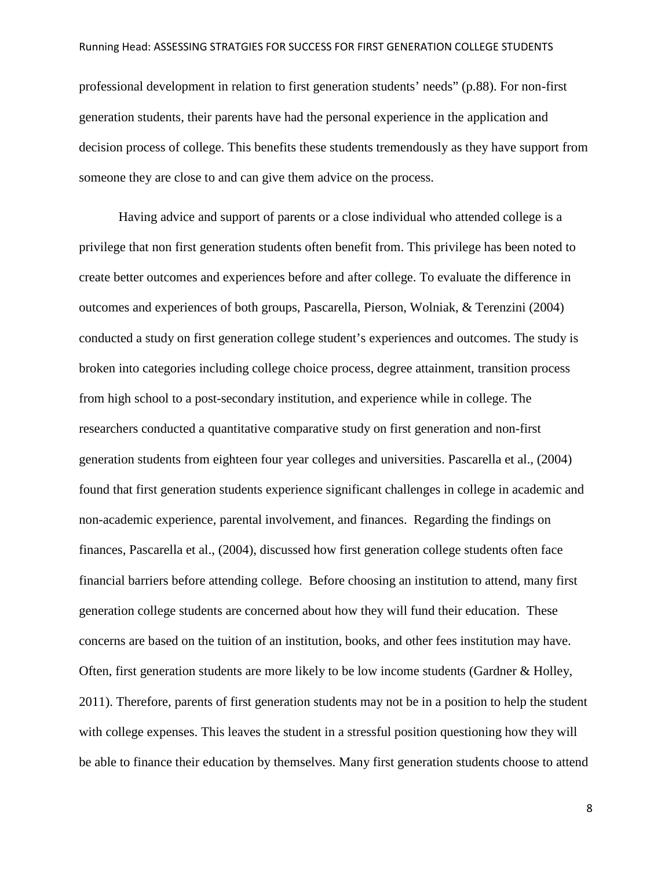professional development in relation to first generation students' needs" (p.88). For non-first generation students, their parents have had the personal experience in the application and decision process of college. This benefits these students tremendously as they have support from someone they are close to and can give them advice on the process.

Having advice and support of parents or a close individual who attended college is a privilege that non first generation students often benefit from. This privilege has been noted to create better outcomes and experiences before and after college. To evaluate the difference in outcomes and experiences of both groups, Pascarella, Pierson, Wolniak, & Terenzini (2004) conducted a study on first generation college student's experiences and outcomes. The study is broken into categories including college choice process, degree attainment, transition process from high school to a post-secondary institution, and experience while in college. The researchers conducted a quantitative comparative study on first generation and non-first generation students from eighteen four year colleges and universities. Pascarella et al., (2004) found that first generation students experience significant challenges in college in academic and non-academic experience, parental involvement, and finances. Regarding the findings on finances, Pascarella et al., (2004), discussed how first generation college students often face financial barriers before attending college. Before choosing an institution to attend, many first generation college students are concerned about how they will fund their education. These concerns are based on the tuition of an institution, books, and other fees institution may have. Often, first generation students are more likely to be low income students (Gardner & Holley, 2011). Therefore, parents of first generation students may not be in a position to help the student with college expenses. This leaves the student in a stressful position questioning how they will be able to finance their education by themselves. Many first generation students choose to attend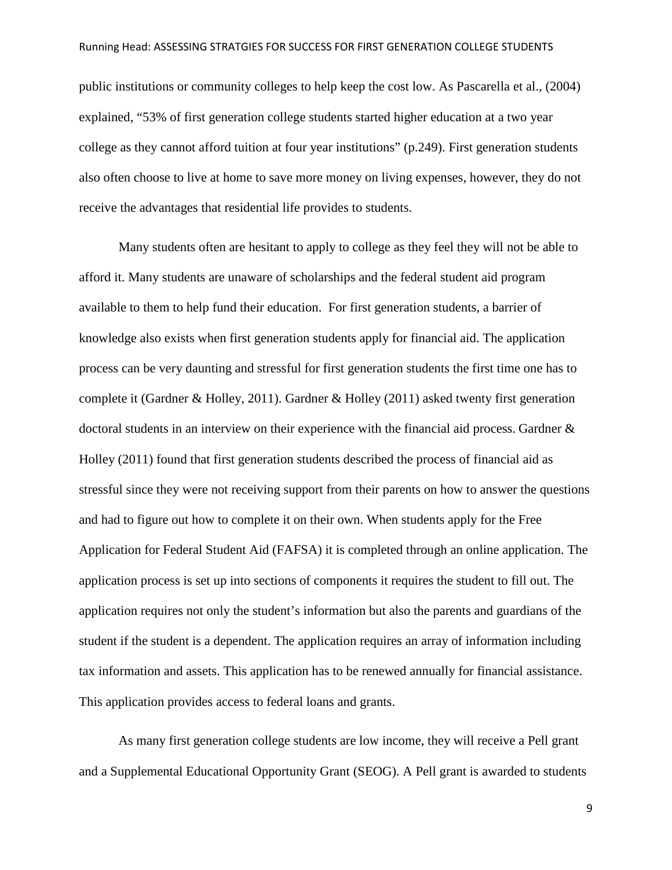public institutions or community colleges to help keep the cost low. As Pascarella et al., (2004) explained, "53% of first generation college students started higher education at a two year college as they cannot afford tuition at four year institutions" (p.249). First generation students also often choose to live at home to save more money on living expenses, however, they do not receive the advantages that residential life provides to students.

Many students often are hesitant to apply to college as they feel they will not be able to afford it. Many students are unaware of scholarships and the federal student aid program available to them to help fund their education. For first generation students, a barrier of knowledge also exists when first generation students apply for financial aid. The application process can be very daunting and stressful for first generation students the first time one has to complete it (Gardner & Holley, 2011). Gardner & Holley (2011) asked twenty first generation doctoral students in an interview on their experience with the financial aid process. Gardner & Holley (2011) found that first generation students described the process of financial aid as stressful since they were not receiving support from their parents on how to answer the questions and had to figure out how to complete it on their own. When students apply for the Free Application for Federal Student Aid (FAFSA) it is completed through an online application. The application process is set up into sections of components it requires the student to fill out. The application requires not only the student's information but also the parents and guardians of the student if the student is a dependent. The application requires an array of information including tax information and assets. This application has to be renewed annually for financial assistance. This application provides access to federal loans and grants.

As many first generation college students are low income, they will receive a Pell grant and a Supplemental Educational Opportunity Grant (SEOG). A Pell grant is awarded to students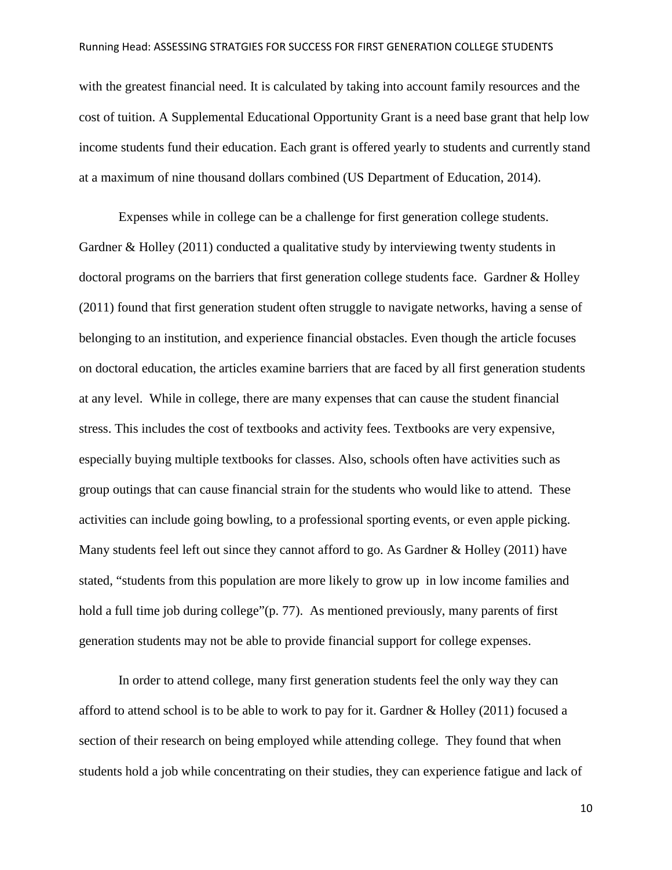with the greatest financial need. It is calculated by taking into account family resources and the cost of tuition. A Supplemental Educational Opportunity Grant is a need base grant that help low income students fund their education. Each grant is offered yearly to students and currently stand at a maximum of nine thousand dollars combined (US Department of Education, 2014).

Expenses while in college can be a challenge for first generation college students. Gardner & Holley (2011) conducted a qualitative study by interviewing twenty students in doctoral programs on the barriers that first generation college students face. Gardner & Holley (2011) found that first generation student often struggle to navigate networks, having a sense of belonging to an institution, and experience financial obstacles. Even though the article focuses on doctoral education, the articles examine barriers that are faced by all first generation students at any level. While in college, there are many expenses that can cause the student financial stress. This includes the cost of textbooks and activity fees. Textbooks are very expensive, especially buying multiple textbooks for classes. Also, schools often have activities such as group outings that can cause financial strain for the students who would like to attend. These activities can include going bowling, to a professional sporting events, or even apple picking. Many students feel left out since they cannot afford to go. As Gardner & Holley (2011) have stated, "students from this population are more likely to grow up in low income families and hold a full time job during college"(p. 77). As mentioned previously, many parents of first generation students may not be able to provide financial support for college expenses.

In order to attend college, many first generation students feel the only way they can afford to attend school is to be able to work to pay for it. Gardner & Holley (2011) focused a section of their research on being employed while attending college. They found that when students hold a job while concentrating on their studies, they can experience fatigue and lack of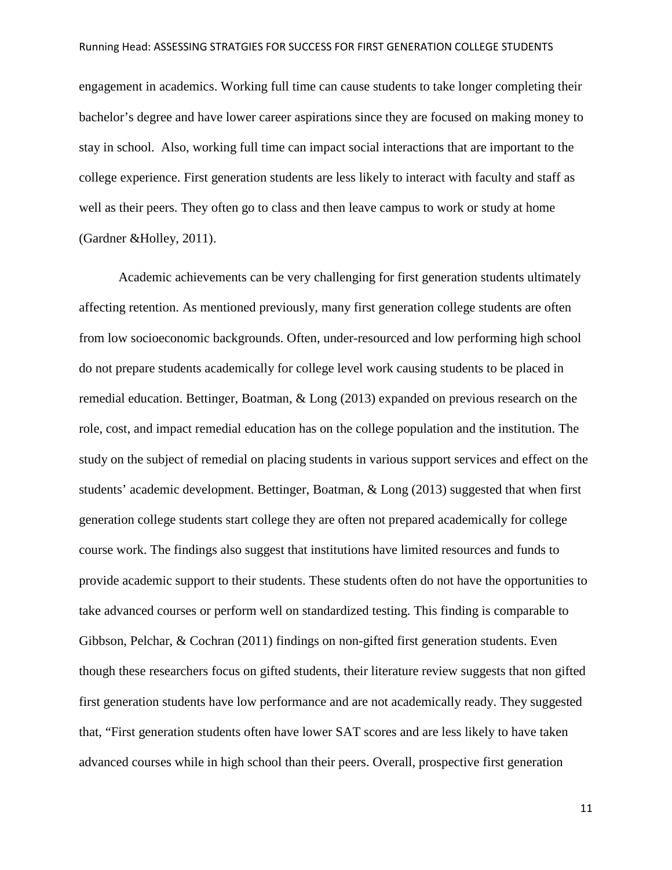engagement in academics. Working full time can cause students to take longer completing their bachelor's degree and have lower career aspirations since they are focused on making money to stay in school. Also, working full time can impact social interactions that are important to the college experience. First generation students are less likely to interact with faculty and staff as well as their peers. They often go to class and then leave campus to work or study at home (Gardner &Holley, 2011).

Academic achievements can be very challenging for first generation students ultimately affecting retention. As mentioned previously, many first generation college students are often from low socioeconomic backgrounds. Often, under-resourced and low performing high school do not prepare students academically for college level work causing students to be placed in remedial education. Bettinger, Boatman, & Long (2013) expanded on previous research on the role, cost, and impact remedial education has on the college population and the institution. The study on the subject of remedial on placing students in various support services and effect on the students' academic development. Bettinger, Boatman, & Long (2013) suggested that when first generation college students start college they are often not prepared academically for college course work. The findings also suggest that institutions have limited resources and funds to provide academic support to their students. These students often do not have the opportunities to take advanced courses or perform well on standardized testing. This finding is comparable to Gibbson, Pelchar, & Cochran (2011) findings on non-gifted first generation students. Even though these researchers focus on gifted students, their literature review suggests that non gifted first generation students have low performance and are not academically ready. They suggested that, "First generation students often have lower SAT scores and are less likely to have taken advanced courses while in high school than their peers. Overall, prospective first generation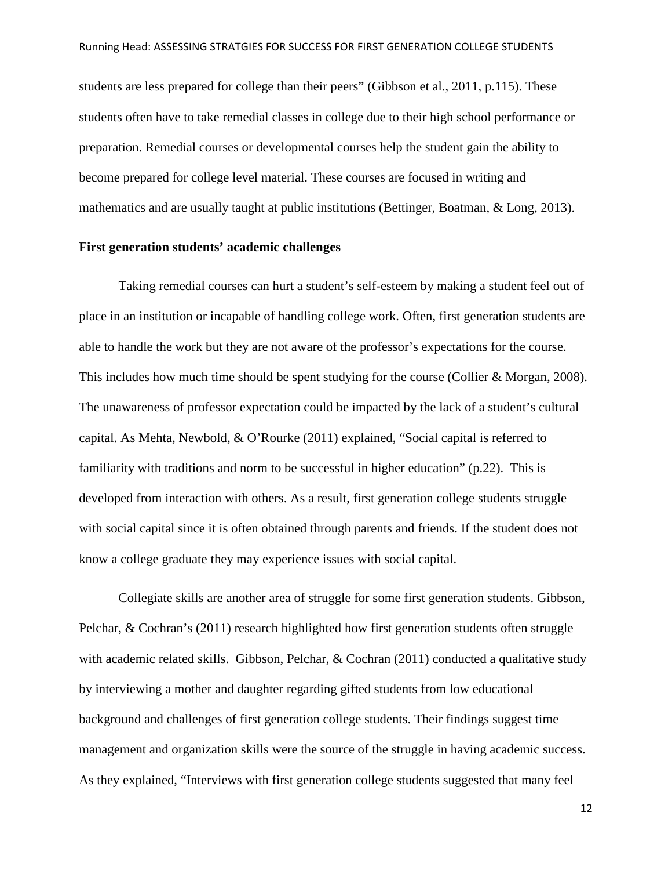students are less prepared for college than their peers" (Gibbson et al., 2011, p.115). These students often have to take remedial classes in college due to their high school performance or preparation. Remedial courses or developmental courses help the student gain the ability to become prepared for college level material. These courses are focused in writing and mathematics and are usually taught at public institutions (Bettinger, Boatman, & Long, 2013).

#### **First generation students' academic challenges**

Taking remedial courses can hurt a student's self-esteem by making a student feel out of place in an institution or incapable of handling college work. Often, first generation students are able to handle the work but they are not aware of the professor's expectations for the course. This includes how much time should be spent studying for the course (Collier & Morgan, 2008). The unawareness of professor expectation could be impacted by the lack of a student's cultural capital. As Mehta, Newbold, & O'Rourke (2011) explained, "Social capital is referred to familiarity with traditions and norm to be successful in higher education" (p.22). This is developed from interaction with others. As a result, first generation college students struggle with social capital since it is often obtained through parents and friends. If the student does not know a college graduate they may experience issues with social capital.

Collegiate skills are another area of struggle for some first generation students. Gibbson, Pelchar, & Cochran's (2011) research highlighted how first generation students often struggle with academic related skills. Gibbson, Pelchar, & Cochran (2011) conducted a qualitative study by interviewing a mother and daughter regarding gifted students from low educational background and challenges of first generation college students. Their findings suggest time management and organization skills were the source of the struggle in having academic success. As they explained, "Interviews with first generation college students suggested that many feel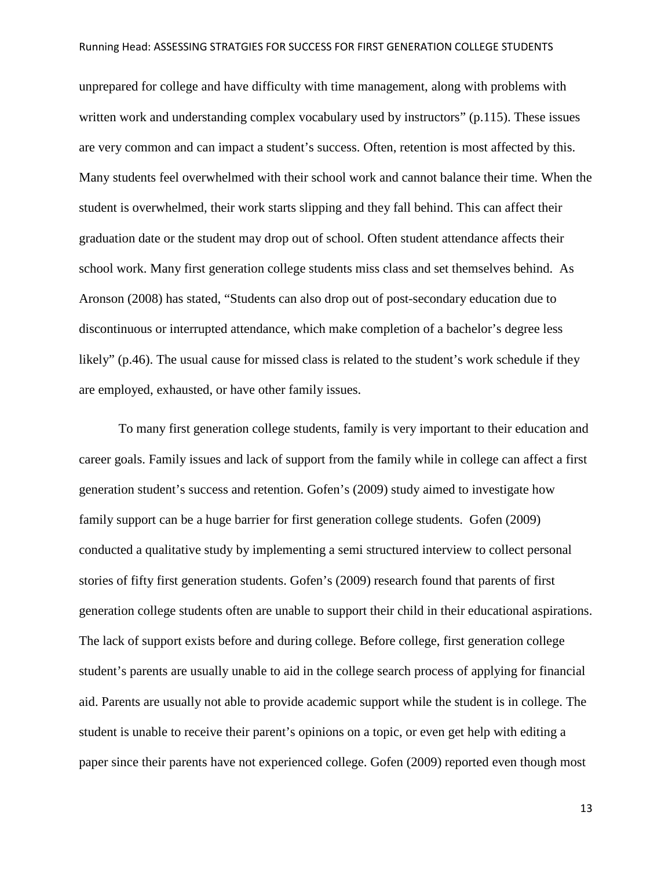unprepared for college and have difficulty with time management, along with problems with written work and understanding complex vocabulary used by instructors" (p.115). These issues are very common and can impact a student's success. Often, retention is most affected by this. Many students feel overwhelmed with their school work and cannot balance their time. When the student is overwhelmed, their work starts slipping and they fall behind. This can affect their graduation date or the student may drop out of school. Often student attendance affects their school work. Many first generation college students miss class and set themselves behind. As Aronson (2008) has stated, "Students can also drop out of post-secondary education due to discontinuous or interrupted attendance, which make completion of a bachelor's degree less likely" (p.46). The usual cause for missed class is related to the student's work schedule if they are employed, exhausted, or have other family issues.

To many first generation college students, family is very important to their education and career goals. Family issues and lack of support from the family while in college can affect a first generation student's success and retention. Gofen's (2009) study aimed to investigate how family support can be a huge barrier for first generation college students. Gofen (2009) conducted a qualitative study by implementing a semi structured interview to collect personal stories of fifty first generation students. Gofen's (2009) research found that parents of first generation college students often are unable to support their child in their educational aspirations. The lack of support exists before and during college. Before college, first generation college student's parents are usually unable to aid in the college search process of applying for financial aid. Parents are usually not able to provide academic support while the student is in college. The student is unable to receive their parent's opinions on a topic, or even get help with editing a paper since their parents have not experienced college. Gofen (2009) reported even though most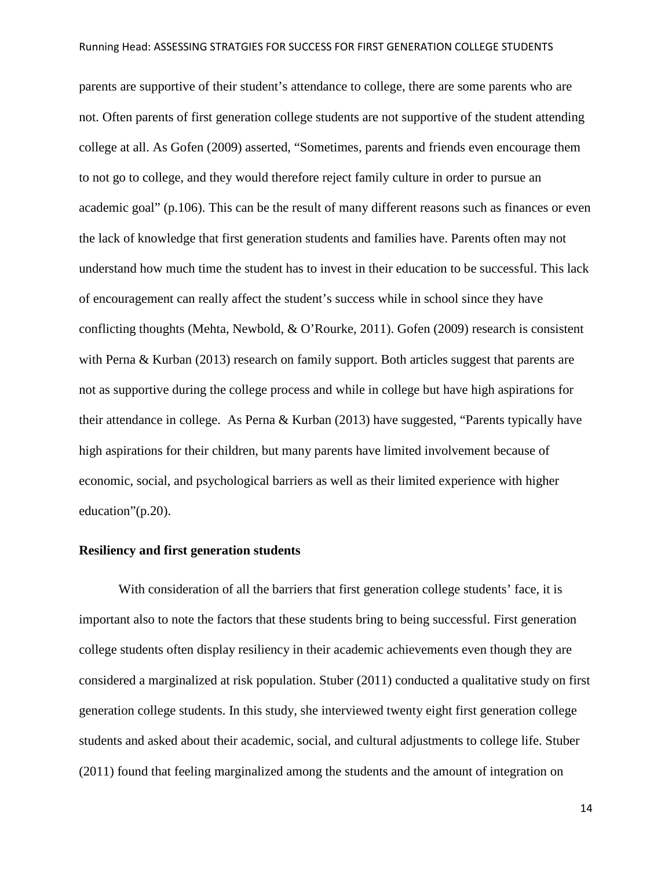parents are supportive of their student's attendance to college, there are some parents who are not. Often parents of first generation college students are not supportive of the student attending college at all. As Gofen (2009) asserted, "Sometimes, parents and friends even encourage them to not go to college, and they would therefore reject family culture in order to pursue an academic goal" (p.106). This can be the result of many different reasons such as finances or even the lack of knowledge that first generation students and families have. Parents often may not understand how much time the student has to invest in their education to be successful. This lack of encouragement can really affect the student's success while in school since they have conflicting thoughts (Mehta, Newbold, & O'Rourke, 2011). Gofen (2009) research is consistent with Perna & Kurban (2013) research on family support. Both articles suggest that parents are not as supportive during the college process and while in college but have high aspirations for their attendance in college. As Perna & Kurban (2013) have suggested, "Parents typically have high aspirations for their children, but many parents have limited involvement because of economic, social, and psychological barriers as well as their limited experience with higher education"(p.20).

### **Resiliency and first generation students**

With consideration of all the barriers that first generation college students' face, it is important also to note the factors that these students bring to being successful. First generation college students often display resiliency in their academic achievements even though they are considered a marginalized at risk population. Stuber (2011) conducted a qualitative study on first generation college students. In this study, she interviewed twenty eight first generation college students and asked about their academic, social, and cultural adjustments to college life. Stuber (2011) found that feeling marginalized among the students and the amount of integration on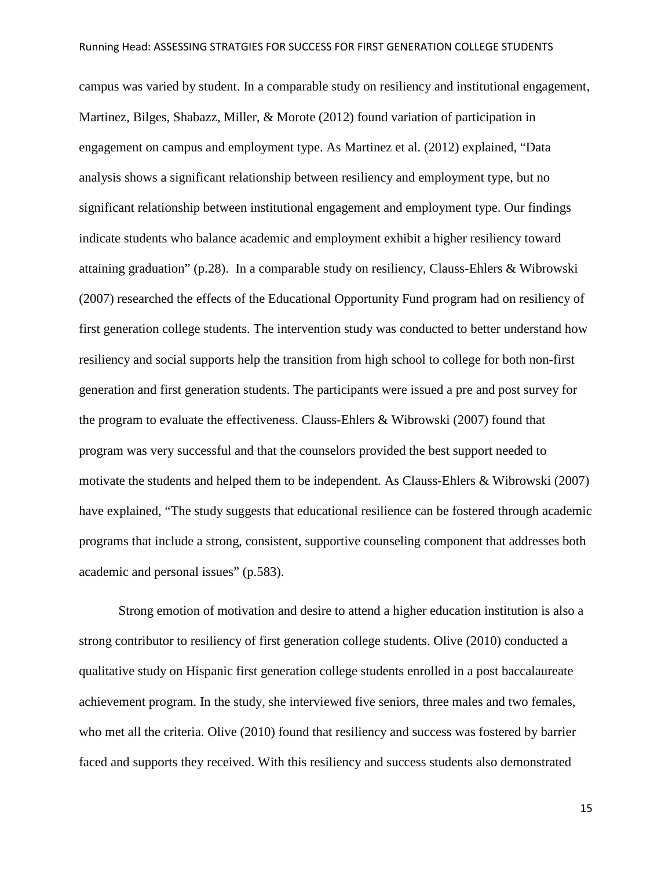campus was varied by student. In a comparable study on resiliency and institutional engagement, Martinez, Bilges, Shabazz, Miller, & Morote (2012) found variation of participation in engagement on campus and employment type. As Martinez et al. (2012) explained, "Data analysis shows a significant relationship between resiliency and employment type, but no significant relationship between institutional engagement and employment type. Our findings indicate students who balance academic and employment exhibit a higher resiliency toward attaining graduation" (p.28). In a comparable study on resiliency, Clauss-Ehlers & Wibrowski (2007) researched the effects of the Educational Opportunity Fund program had on resiliency of first generation college students. The intervention study was conducted to better understand how resiliency and social supports help the transition from high school to college for both non-first generation and first generation students. The participants were issued a pre and post survey for the program to evaluate the effectiveness. Clauss-Ehlers & Wibrowski (2007) found that program was very successful and that the counselors provided the best support needed to motivate the students and helped them to be independent. As Clauss-Ehlers & Wibrowski (2007) have explained, "The study suggests that educational resilience can be fostered through academic programs that include a strong, consistent, supportive counseling component that addresses both academic and personal issues" (p.583).

Strong emotion of motivation and desire to attend a higher education institution is also a strong contributor to resiliency of first generation college students. Olive (2010) conducted a qualitative study on Hispanic first generation college students enrolled in a post baccalaureate achievement program. In the study, she interviewed five seniors, three males and two females, who met all the criteria. Olive (2010) found that resiliency and success was fostered by barrier faced and supports they received. With this resiliency and success students also demonstrated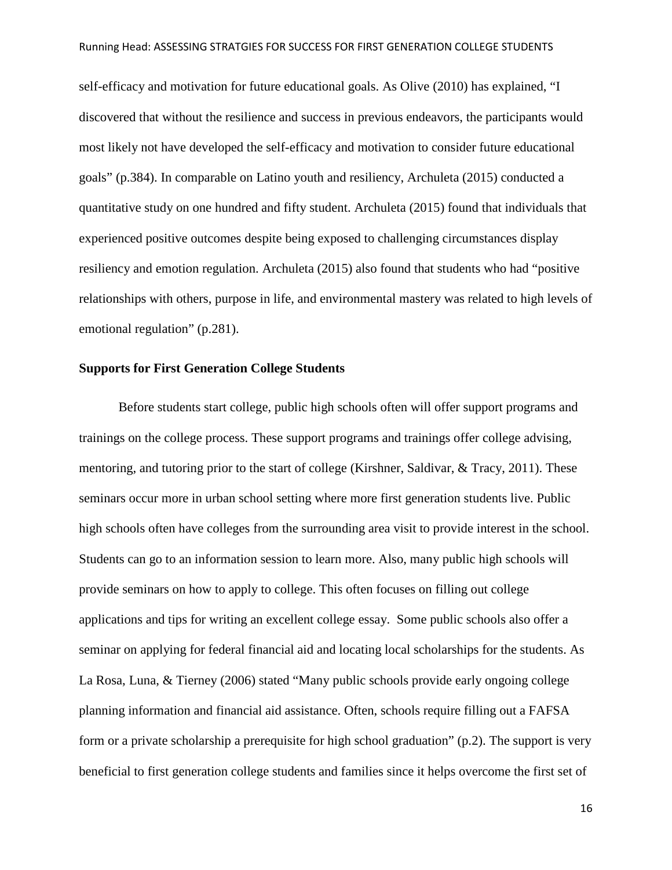self-efficacy and motivation for future educational goals. As Olive (2010) has explained, "I discovered that without the resilience and success in previous endeavors, the participants would most likely not have developed the self-efficacy and motivation to consider future educational goals" (p.384). In comparable on Latino youth and resiliency, Archuleta (2015) conducted a quantitative study on one hundred and fifty student. Archuleta (2015) found that individuals that experienced positive outcomes despite being exposed to challenging circumstances display resiliency and emotion regulation. Archuleta (2015) also found that students who had "positive relationships with others, purpose in life, and environmental mastery was related to high levels of emotional regulation" (p.281).

#### **Supports for First Generation College Students**

Before students start college, public high schools often will offer support programs and trainings on the college process. These support programs and trainings offer college advising, mentoring, and tutoring prior to the start of college (Kirshner, Saldivar, & Tracy, 2011). These seminars occur more in urban school setting where more first generation students live. Public high schools often have colleges from the surrounding area visit to provide interest in the school. Students can go to an information session to learn more. Also, many public high schools will provide seminars on how to apply to college. This often focuses on filling out college applications and tips for writing an excellent college essay. Some public schools also offer a seminar on applying for federal financial aid and locating local scholarships for the students. As La Rosa, Luna, & Tierney (2006) stated "Many public schools provide early ongoing college planning information and financial aid assistance. Often, schools require filling out a FAFSA form or a private scholarship a prerequisite for high school graduation" (p.2). The support is very beneficial to first generation college students and families since it helps overcome the first set of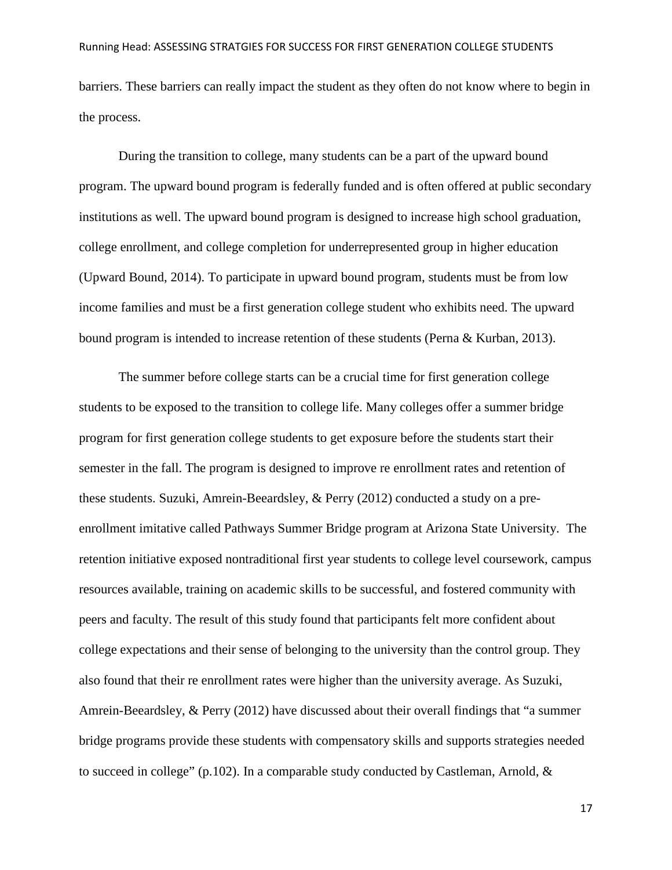barriers. These barriers can really impact the student as they often do not know where to begin in the process.

During the transition to college, many students can be a part of the upward bound program. The upward bound program is federally funded and is often offered at public secondary institutions as well. The upward bound program is designed to increase high school graduation, college enrollment, and college completion for underrepresented group in higher education (Upward Bound, 2014). To participate in upward bound program, students must be from low income families and must be a first generation college student who exhibits need. The upward bound program is intended to increase retention of these students (Perna & Kurban, 2013).

The summer before college starts can be a crucial time for first generation college students to be exposed to the transition to college life. Many colleges offer a summer bridge program for first generation college students to get exposure before the students start their semester in the fall. The program is designed to improve re enrollment rates and retention of these students. Suzuki, Amrein-Beeardsley, & Perry (2012) conducted a study on a preenrollment imitative called Pathways Summer Bridge program at Arizona State University. The retention initiative exposed nontraditional first year students to college level coursework, campus resources available, training on academic skills to be successful, and fostered community with peers and faculty. The result of this study found that participants felt more confident about college expectations and their sense of belonging to the university than the control group. They also found that their re enrollment rates were higher than the university average. As Suzuki, Amrein-Beeardsley, & Perry (2012) have discussed about their overall findings that "a summer bridge programs provide these students with compensatory skills and supports strategies needed to succeed in college" (p.102). In a comparable study conducted by Castleman, Arnold,  $\&$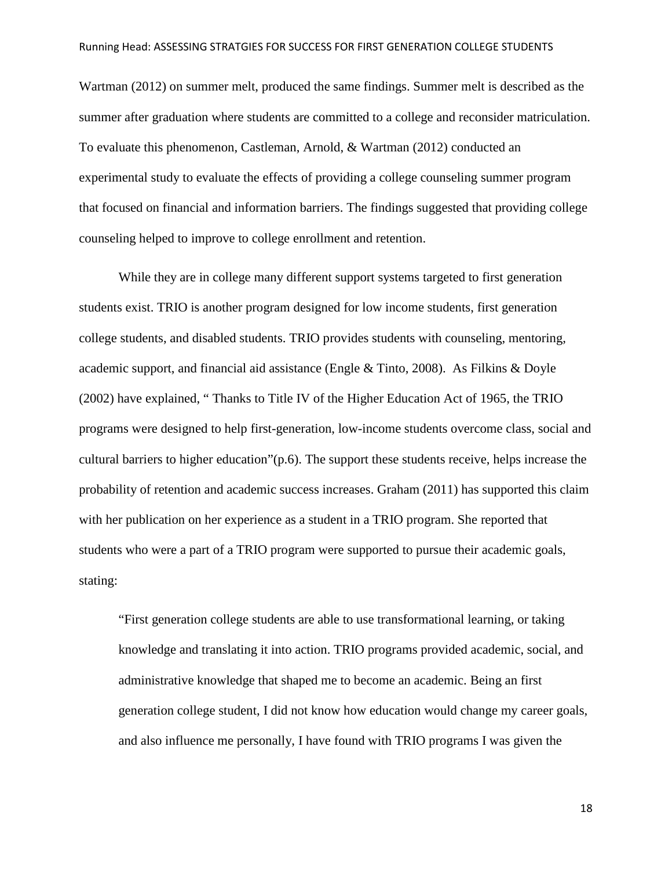Wartman (2012) on summer melt, produced the same findings. Summer melt is described as the summer after graduation where students are committed to a college and reconsider matriculation. To evaluate this phenomenon, Castleman, Arnold, & Wartman (2012) conducted an experimental study to evaluate the effects of providing a college counseling summer program that focused on financial and information barriers. The findings suggested that providing college counseling helped to improve to college enrollment and retention.

While they are in college many different support systems targeted to first generation students exist. TRIO is another program designed for low income students, first generation college students, and disabled students. TRIO provides students with counseling, mentoring, academic support, and financial aid assistance (Engle & Tinto, 2008). As Filkins & Doyle (2002) have explained, " Thanks to Title IV of the Higher Education Act of 1965, the TRIO programs were designed to help first-generation, low-income students overcome class, social and cultural barriers to higher education"(p.6). The support these students receive, helps increase the probability of retention and academic success increases. Graham (2011) has supported this claim with her publication on her experience as a student in a TRIO program. She reported that students who were a part of a TRIO program were supported to pursue their academic goals, stating:

"First generation college students are able to use transformational learning, or taking knowledge and translating it into action. TRIO programs provided academic, social, and administrative knowledge that shaped me to become an academic. Being an first generation college student, I did not know how education would change my career goals, and also influence me personally, I have found with TRIO programs I was given the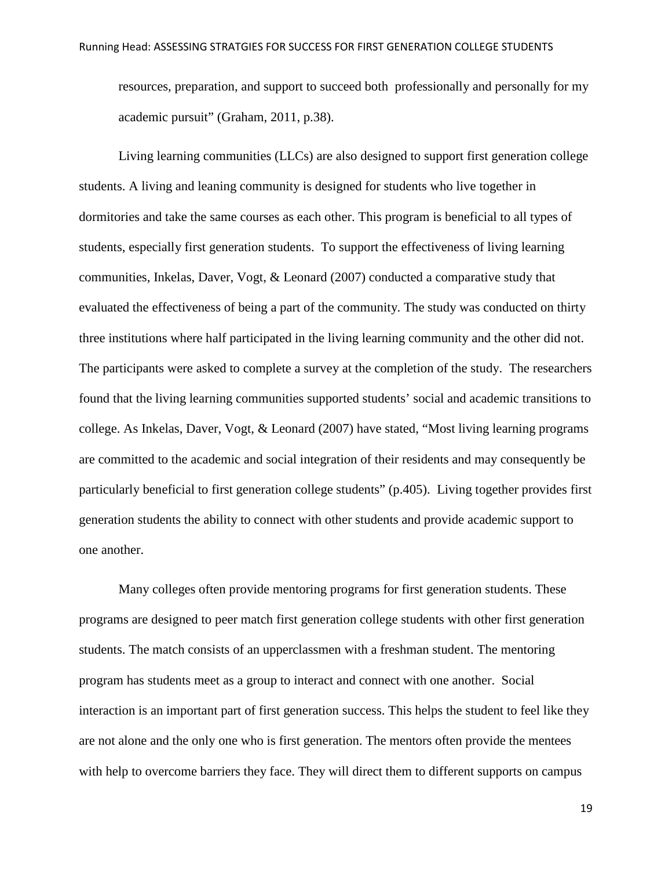resources, preparation, and support to succeed both professionally and personally for my academic pursuit" (Graham, 2011, p.38).

Living learning communities (LLCs) are also designed to support first generation college students. A living and leaning community is designed for students who live together in dormitories and take the same courses as each other. This program is beneficial to all types of students, especially first generation students. To support the effectiveness of living learning communities, Inkelas, Daver, Vogt, & Leonard (2007) conducted a comparative study that evaluated the effectiveness of being a part of the community. The study was conducted on thirty three institutions where half participated in the living learning community and the other did not. The participants were asked to complete a survey at the completion of the study. The researchers found that the living learning communities supported students' social and academic transitions to college. As Inkelas, Daver, Vogt, & Leonard (2007) have stated, "Most living learning programs are committed to the academic and social integration of their residents and may consequently be particularly beneficial to first generation college students" (p.405). Living together provides first generation students the ability to connect with other students and provide academic support to one another.

Many colleges often provide mentoring programs for first generation students. These programs are designed to peer match first generation college students with other first generation students. The match consists of an upperclassmen with a freshman student. The mentoring program has students meet as a group to interact and connect with one another. Social interaction is an important part of first generation success. This helps the student to feel like they are not alone and the only one who is first generation. The mentors often provide the mentees with help to overcome barriers they face. They will direct them to different supports on campus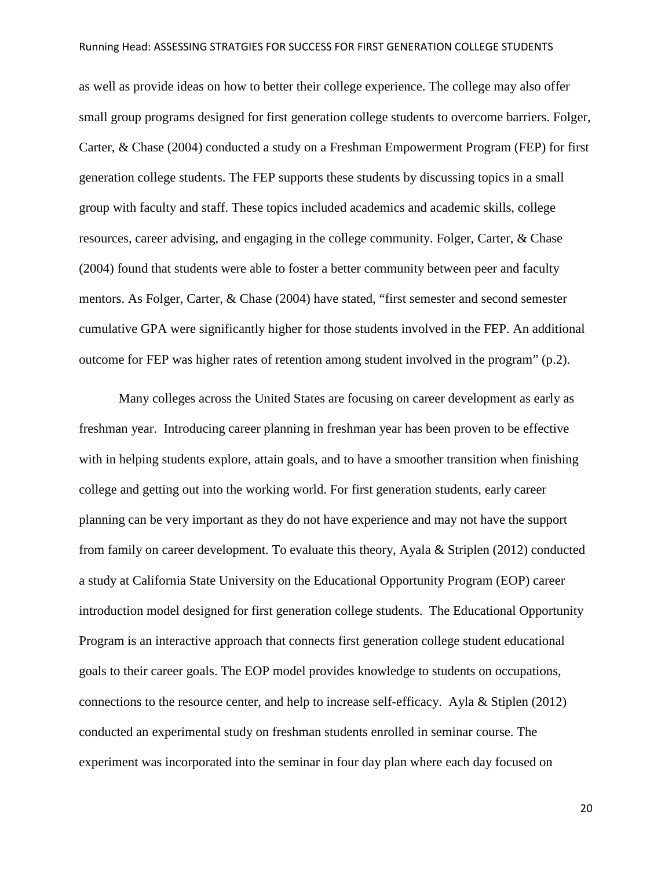as well as provide ideas on how to better their college experience. The college may also offer small group programs designed for first generation college students to overcome barriers. Folger, Carter, & Chase (2004) conducted a study on a Freshman Empowerment Program (FEP) for first generation college students. The FEP supports these students by discussing topics in a small group with faculty and staff. These topics included academics and academic skills, college resources, career advising, and engaging in the college community. Folger, Carter, & Chase (2004) found that students were able to foster a better community between peer and faculty mentors. As Folger, Carter, & Chase (2004) have stated, "first semester and second semester cumulative GPA were significantly higher for those students involved in the FEP. An additional outcome for FEP was higher rates of retention among student involved in the program" (p.2).

Many colleges across the United States are focusing on career development as early as freshman year. Introducing career planning in freshman year has been proven to be effective with in helping students explore, attain goals, and to have a smoother transition when finishing college and getting out into the working world. For first generation students, early career planning can be very important as they do not have experience and may not have the support from family on career development. To evaluate this theory, Ayala & Striplen (2012) conducted a study at California State University on the Educational Opportunity Program (EOP) career introduction model designed for first generation college students. The Educational Opportunity Program is an interactive approach that connects first generation college student educational goals to their career goals. The EOP model provides knowledge to students on occupations, connections to the resource center, and help to increase self-efficacy. Ayla & Stiplen (2012) conducted an experimental study on freshman students enrolled in seminar course. The experiment was incorporated into the seminar in four day plan where each day focused on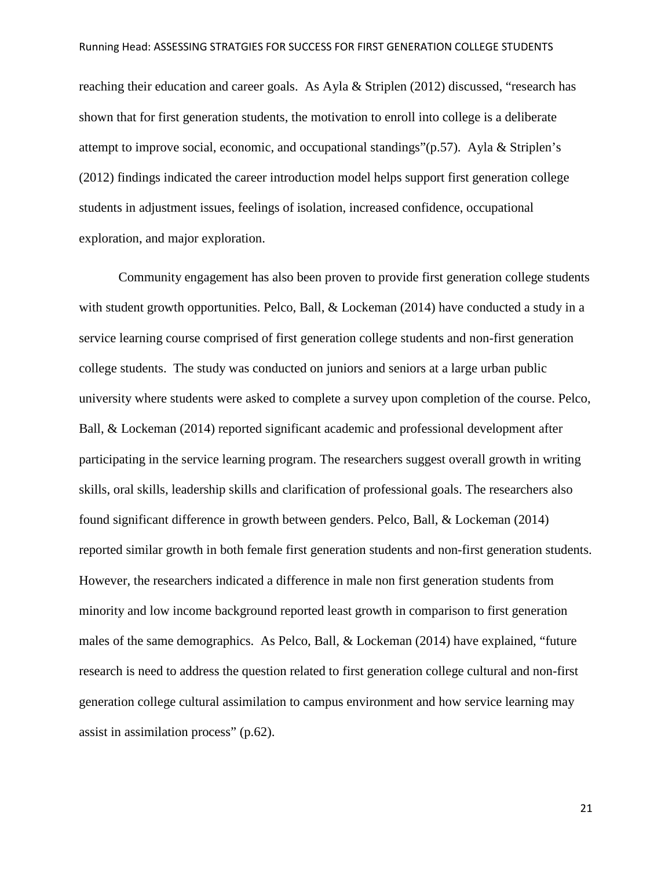reaching their education and career goals. As Ayla & Striplen (2012) discussed, "research has shown that for first generation students, the motivation to enroll into college is a deliberate attempt to improve social, economic, and occupational standings" $(p.57)$ . Ayla & Striplen's (2012) findings indicated the career introduction model helps support first generation college students in adjustment issues, feelings of isolation, increased confidence, occupational exploration, and major exploration.

Community engagement has also been proven to provide first generation college students with student growth opportunities. Pelco, Ball, & Lockeman (2014) have conducted a study in a service learning course comprised of first generation college students and non-first generation college students. The study was conducted on juniors and seniors at a large urban public university where students were asked to complete a survey upon completion of the course. Pelco, Ball, & Lockeman (2014) reported significant academic and professional development after participating in the service learning program. The researchers suggest overall growth in writing skills, oral skills, leadership skills and clarification of professional goals. The researchers also found significant difference in growth between genders. Pelco, Ball, & Lockeman (2014) reported similar growth in both female first generation students and non-first generation students. However, the researchers indicated a difference in male non first generation students from minority and low income background reported least growth in comparison to first generation males of the same demographics. As Pelco, Ball, & Lockeman (2014) have explained, "future research is need to address the question related to first generation college cultural and non-first generation college cultural assimilation to campus environment and how service learning may assist in assimilation process" (p.62).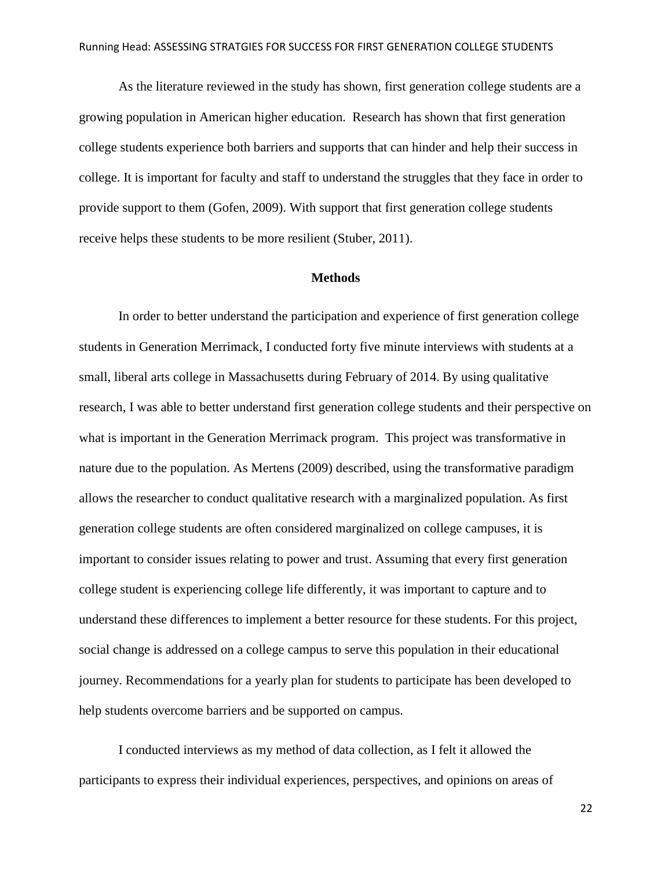As the literature reviewed in the study has shown, first generation college students are a growing population in American higher education. Research has shown that first generation college students experience both barriers and supports that can hinder and help their success in college. It is important for faculty and staff to understand the struggles that they face in order to provide support to them (Gofen, 2009). With support that first generation college students receive helps these students to be more resilient (Stuber, 2011).

#### **Methods**

In order to better understand the participation and experience of first generation college students in Generation Merrimack, I conducted forty five minute interviews with students at a small, liberal arts college in Massachusetts during February of 2014. By using qualitative research, I was able to better understand first generation college students and their perspective on what is important in the Generation Merrimack program. This project was transformative in nature due to the population. As Mertens (2009) described, using the transformative paradigm allows the researcher to conduct qualitative research with a marginalized population. As first generation college students are often considered marginalized on college campuses, it is important to consider issues relating to power and trust. Assuming that every first generation college student is experiencing college life differently, it was important to capture and to understand these differences to implement a better resource for these students. For this project, social change is addressed on a college campus to serve this population in their educational journey. Recommendations for a yearly plan for students to participate has been developed to help students overcome barriers and be supported on campus.

I conducted interviews as my method of data collection, as I felt it allowed the participants to express their individual experiences, perspectives, and opinions on areas of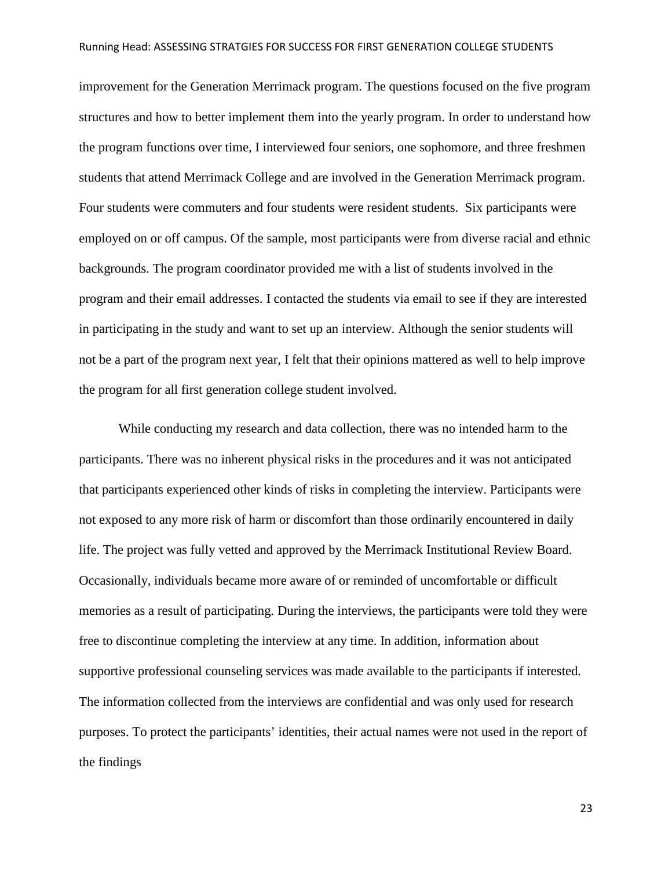improvement for the Generation Merrimack program. The questions focused on the five program structures and how to better implement them into the yearly program. In order to understand how the program functions over time, I interviewed four seniors, one sophomore, and three freshmen students that attend Merrimack College and are involved in the Generation Merrimack program. Four students were commuters and four students were resident students. Six participants were employed on or off campus. Of the sample, most participants were from diverse racial and ethnic backgrounds. The program coordinator provided me with a list of students involved in the program and their email addresses. I contacted the students via email to see if they are interested in participating in the study and want to set up an interview. Although the senior students will not be a part of the program next year, I felt that their opinions mattered as well to help improve the program for all first generation college student involved.

While conducting my research and data collection, there was no intended harm to the participants. There was no inherent physical risks in the procedures and it was not anticipated that participants experienced other kinds of risks in completing the interview. Participants were not exposed to any more risk of harm or discomfort than those ordinarily encountered in daily life. The project was fully vetted and approved by the Merrimack Institutional Review Board. Occasionally, individuals became more aware of or reminded of uncomfortable or difficult memories as a result of participating. During the interviews, the participants were told they were free to discontinue completing the interview at any time. In addition, information about supportive professional counseling services was made available to the participants if interested. The information collected from the interviews are confidential and was only used for research purposes. To protect the participants' identities, their actual names were not used in the report of the findings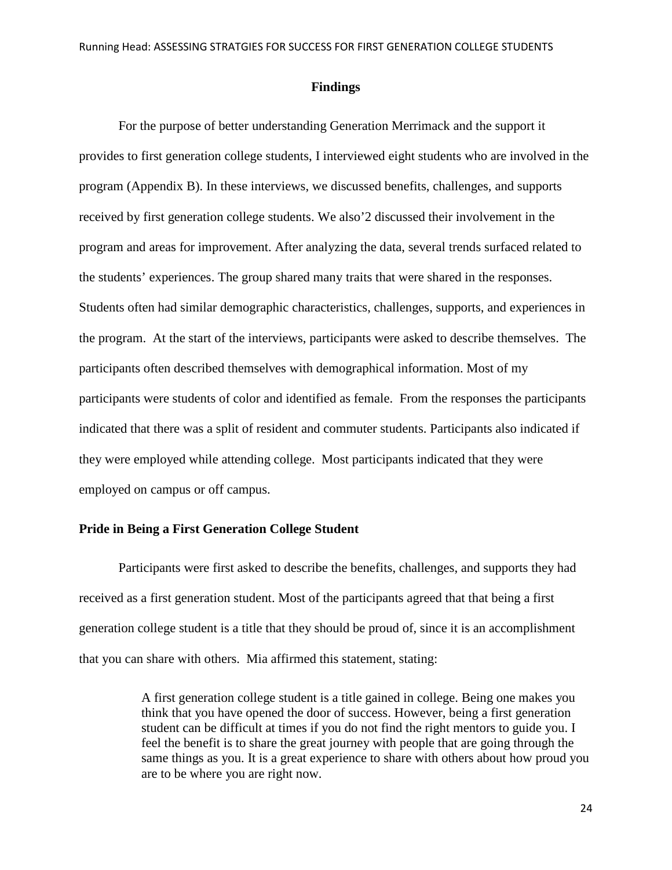#### **Findings**

For the purpose of better understanding Generation Merrimack and the support it provides to first generation college students, I interviewed eight students who are involved in the program (Appendix B). In these interviews, we discussed benefits, challenges, and supports received by first generation college students. We also'2 discussed their involvement in the program and areas for improvement. After analyzing the data, several trends surfaced related to the students' experiences. The group shared many traits that were shared in the responses. Students often had similar demographic characteristics, challenges, supports, and experiences in the program. At the start of the interviews, participants were asked to describe themselves. The participants often described themselves with demographical information. Most of my participants were students of color and identified as female. From the responses the participants indicated that there was a split of resident and commuter students. Participants also indicated if they were employed while attending college. Most participants indicated that they were employed on campus or off campus.

#### **Pride in Being a First Generation College Student**

Participants were first asked to describe the benefits, challenges, and supports they had received as a first generation student. Most of the participants agreed that that being a first generation college student is a title that they should be proud of, since it is an accomplishment that you can share with others. Mia affirmed this statement, stating:

> A first generation college student is a title gained in college. Being one makes you think that you have opened the door of success. However, being a first generation student can be difficult at times if you do not find the right mentors to guide you. I feel the benefit is to share the great journey with people that are going through the same things as you. It is a great experience to share with others about how proud you are to be where you are right now.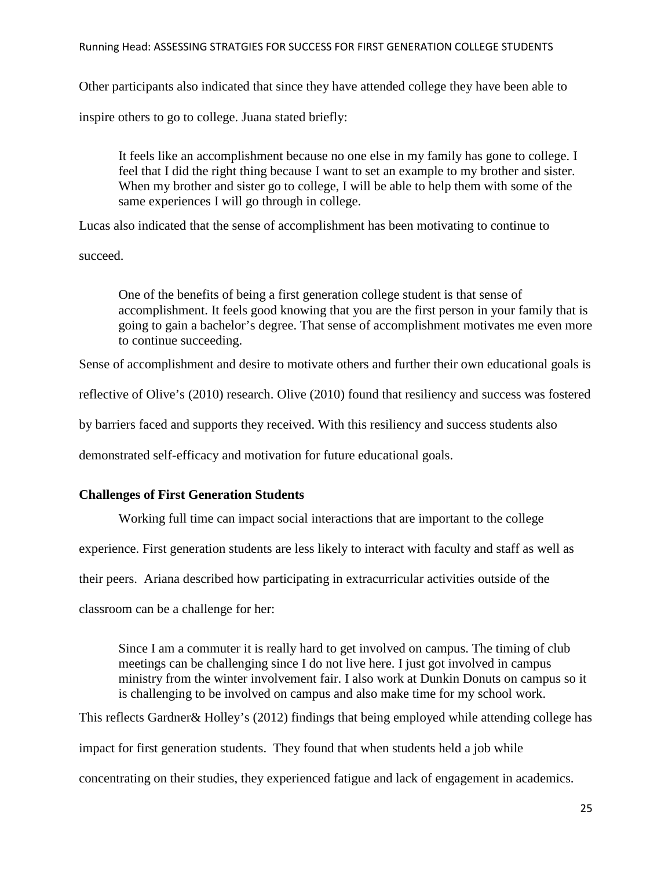Other participants also indicated that since they have attended college they have been able to

inspire others to go to college. Juana stated briefly:

It feels like an accomplishment because no one else in my family has gone to college. I feel that I did the right thing because I want to set an example to my brother and sister. When my brother and sister go to college, I will be able to help them with some of the same experiences I will go through in college.

Lucas also indicated that the sense of accomplishment has been motivating to continue to

succeed.

One of the benefits of being a first generation college student is that sense of accomplishment. It feels good knowing that you are the first person in your family that is going to gain a bachelor's degree. That sense of accomplishment motivates me even more to continue succeeding.

Sense of accomplishment and desire to motivate others and further their own educational goals is

reflective of Olive's (2010) research. Olive (2010) found that resiliency and success was fostered

by barriers faced and supports they received. With this resiliency and success students also

demonstrated self-efficacy and motivation for future educational goals.

## **Challenges of First Generation Students**

Working full time can impact social interactions that are important to the college

experience. First generation students are less likely to interact with faculty and staff as well as

their peers. Ariana described how participating in extracurricular activities outside of the

classroom can be a challenge for her:

Since I am a commuter it is really hard to get involved on campus. The timing of club meetings can be challenging since I do not live here. I just got involved in campus ministry from the winter involvement fair. I also work at Dunkin Donuts on campus so it is challenging to be involved on campus and also make time for my school work.

This reflects Gardner& Holley's (2012) findings that being employed while attending college has impact for first generation students. They found that when students held a job while concentrating on their studies, they experienced fatigue and lack of engagement in academics.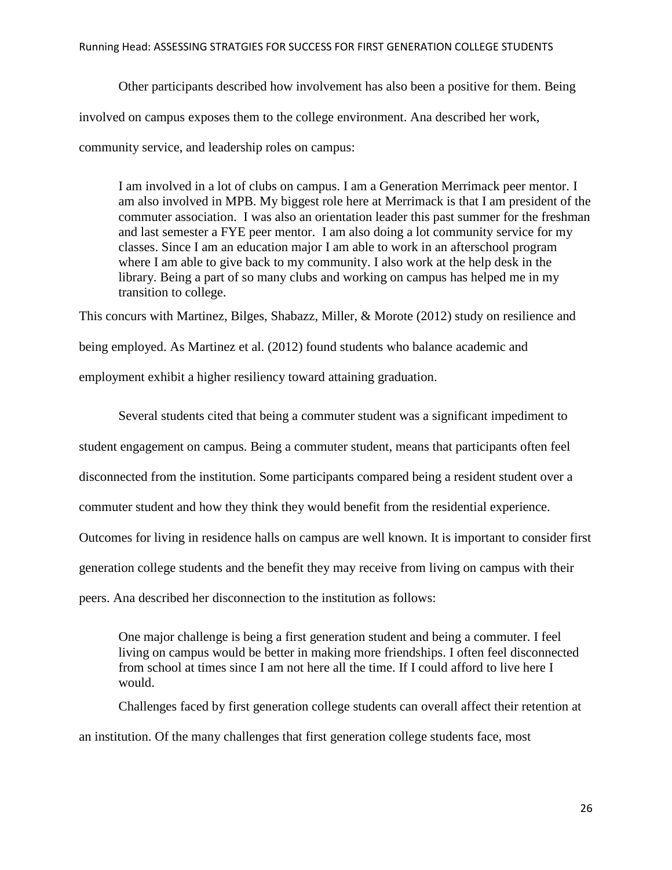Other participants described how involvement has also been a positive for them. Being involved on campus exposes them to the college environment. Ana described her work, community service, and leadership roles on campus:

I am involved in a lot of clubs on campus. I am a Generation Merrimack peer mentor. I am also involved in MPB. My biggest role here at Merrimack is that I am president of the commuter association. I was also an orientation leader this past summer for the freshman and last semester a FYE peer mentor. I am also doing a lot community service for my classes. Since I am an education major I am able to work in an afterschool program where I am able to give back to my community. I also work at the help desk in the library. Being a part of so many clubs and working on campus has helped me in my transition to college.

This concurs with Martinez, Bilges, Shabazz, Miller, & Morote (2012) study on resilience and

being employed. As Martinez et al. (2012) found students who balance academic and

employment exhibit a higher resiliency toward attaining graduation.

Several students cited that being a commuter student was a significant impediment to

student engagement on campus. Being a commuter student, means that participants often feel

disconnected from the institution. Some participants compared being a resident student over a

commuter student and how they think they would benefit from the residential experience.

Outcomes for living in residence halls on campus are well known. It is important to consider first

generation college students and the benefit they may receive from living on campus with their

peers. Ana described her disconnection to the institution as follows:

One major challenge is being a first generation student and being a commuter. I feel living on campus would be better in making more friendships. I often feel disconnected from school at times since I am not here all the time. If I could afford to live here I would.

Challenges faced by first generation college students can overall affect their retention at an institution. Of the many challenges that first generation college students face, most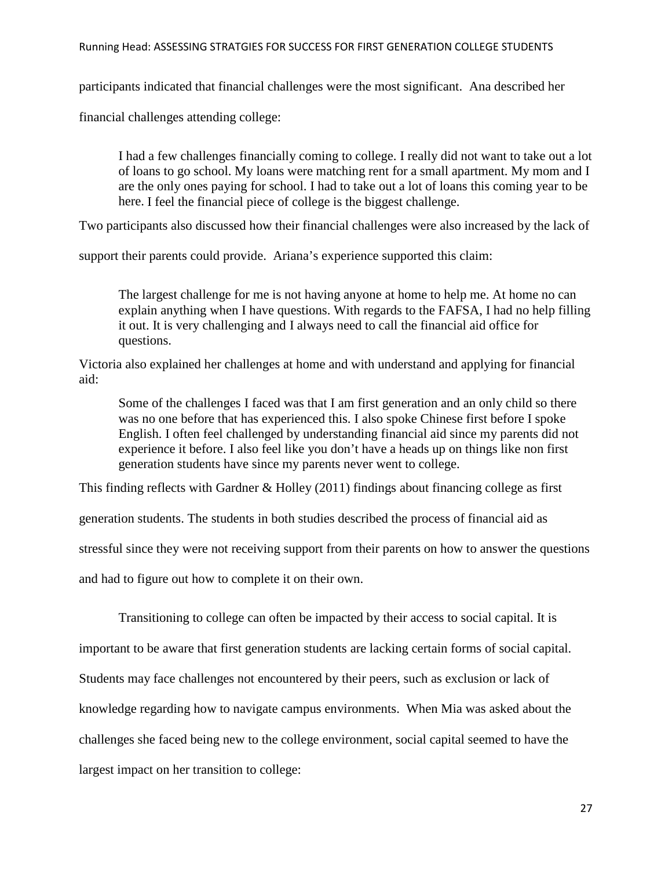participants indicated that financial challenges were the most significant. Ana described her

financial challenges attending college:

I had a few challenges financially coming to college. I really did not want to take out a lot of loans to go school. My loans were matching rent for a small apartment. My mom and I are the only ones paying for school. I had to take out a lot of loans this coming year to be here. I feel the financial piece of college is the biggest challenge.

Two participants also discussed how their financial challenges were also increased by the lack of

support their parents could provide. Ariana's experience supported this claim:

The largest challenge for me is not having anyone at home to help me. At home no can explain anything when I have questions. With regards to the FAFSA, I had no help filling it out. It is very challenging and I always need to call the financial aid office for questions.

Victoria also explained her challenges at home and with understand and applying for financial aid:

Some of the challenges I faced was that I am first generation and an only child so there was no one before that has experienced this. I also spoke Chinese first before I spoke English. I often feel challenged by understanding financial aid since my parents did not experience it before. I also feel like you don't have a heads up on things like non first generation students have since my parents never went to college.

This finding reflects with Gardner & Holley (2011) findings about financing college as first

generation students. The students in both studies described the process of financial aid as

stressful since they were not receiving support from their parents on how to answer the questions

and had to figure out how to complete it on their own.

Transitioning to college can often be impacted by their access to social capital. It is

important to be aware that first generation students are lacking certain forms of social capital.

Students may face challenges not encountered by their peers, such as exclusion or lack of

knowledge regarding how to navigate campus environments. When Mia was asked about the

challenges she faced being new to the college environment, social capital seemed to have the

largest impact on her transition to college: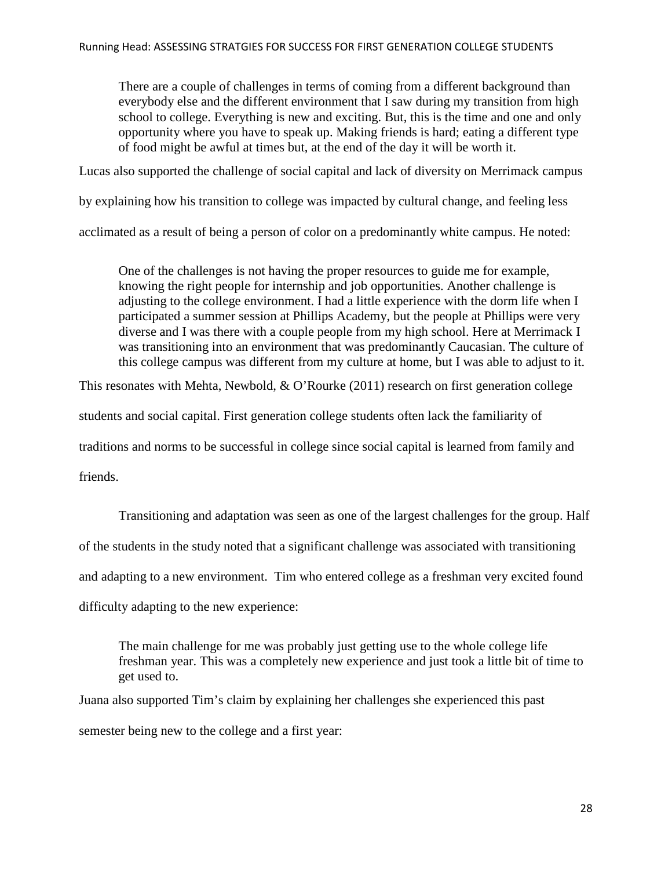There are a couple of challenges in terms of coming from a different background than everybody else and the different environment that I saw during my transition from high school to college. Everything is new and exciting. But, this is the time and one and only opportunity where you have to speak up. Making friends is hard; eating a different type of food might be awful at times but, at the end of the day it will be worth it.

Lucas also supported the challenge of social capital and lack of diversity on Merrimack campus

by explaining how his transition to college was impacted by cultural change, and feeling less

acclimated as a result of being a person of color on a predominantly white campus. He noted:

One of the challenges is not having the proper resources to guide me for example, knowing the right people for internship and job opportunities. Another challenge is adjusting to the college environment. I had a little experience with the dorm life when I participated a summer session at Phillips Academy, but the people at Phillips were very diverse and I was there with a couple people from my high school. Here at Merrimack I was transitioning into an environment that was predominantly Caucasian. The culture of this college campus was different from my culture at home, but I was able to adjust to it.

This resonates with Mehta, Newbold, & O'Rourke (2011) research on first generation college

students and social capital. First generation college students often lack the familiarity of

traditions and norms to be successful in college since social capital is learned from family and

friends.

Transitioning and adaptation was seen as one of the largest challenges for the group. Half of the students in the study noted that a significant challenge was associated with transitioning and adapting to a new environment. Tim who entered college as a freshman very excited found difficulty adapting to the new experience:

The main challenge for me was probably just getting use to the whole college life freshman year. This was a completely new experience and just took a little bit of time to get used to.

Juana also supported Tim's claim by explaining her challenges she experienced this past semester being new to the college and a first year: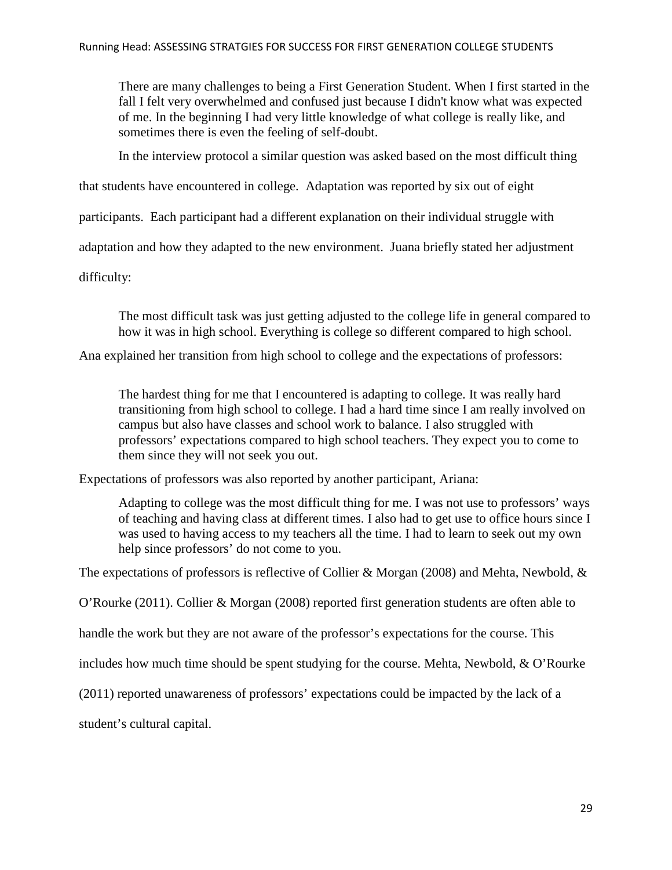There are many challenges to being a First Generation Student. When I first started in the fall I felt very overwhelmed and confused just because I didn't know what was expected of me. In the beginning I had very little knowledge of what college is really like, and sometimes there is even the feeling of self-doubt.

In the interview protocol a similar question was asked based on the most difficult thing

that students have encountered in college. Adaptation was reported by six out of eight

participants. Each participant had a different explanation on their individual struggle with

adaptation and how they adapted to the new environment. Juana briefly stated her adjustment

difficulty:

The most difficult task was just getting adjusted to the college life in general compared to how it was in high school. Everything is college so different compared to high school.

Ana explained her transition from high school to college and the expectations of professors:

The hardest thing for me that I encountered is adapting to college. It was really hard transitioning from high school to college. I had a hard time since I am really involved on campus but also have classes and school work to balance. I also struggled with professors' expectations compared to high school teachers. They expect you to come to them since they will not seek you out.

Expectations of professors was also reported by another participant, Ariana:

Adapting to college was the most difficult thing for me. I was not use to professors' ways of teaching and having class at different times. I also had to get use to office hours since I was used to having access to my teachers all the time. I had to learn to seek out my own help since professors' do not come to you.

The expectations of professors is reflective of Collier & Morgan (2008) and Mehta, Newbold, &

O'Rourke (2011). Collier & Morgan (2008) reported first generation students are often able to

handle the work but they are not aware of the professor's expectations for the course. This

includes how much time should be spent studying for the course. Mehta, Newbold, & O'Rourke

(2011) reported unawareness of professors' expectations could be impacted by the lack of a

student's cultural capital.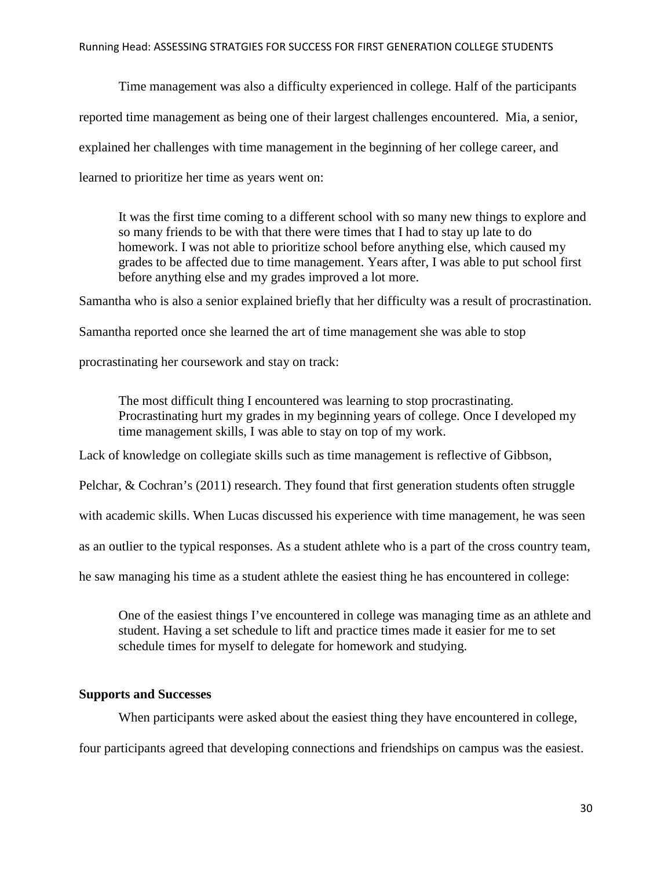Time management was also a difficulty experienced in college. Half of the participants reported time management as being one of their largest challenges encountered. Mia, a senior, explained her challenges with time management in the beginning of her college career, and learned to prioritize her time as years went on:

It was the first time coming to a different school with so many new things to explore and so many friends to be with that there were times that I had to stay up late to do homework. I was not able to prioritize school before anything else, which caused my grades to be affected due to time management. Years after, I was able to put school first before anything else and my grades improved a lot more.

Samantha who is also a senior explained briefly that her difficulty was a result of procrastination.

Samantha reported once she learned the art of time management she was able to stop

procrastinating her coursework and stay on track:

The most difficult thing I encountered was learning to stop procrastinating. Procrastinating hurt my grades in my beginning years of college. Once I developed my time management skills, I was able to stay on top of my work.

Lack of knowledge on collegiate skills such as time management is reflective of Gibbson,

Pelchar, & Cochran's (2011) research. They found that first generation students often struggle

with academic skills. When Lucas discussed his experience with time management, he was seen

as an outlier to the typical responses. As a student athlete who is a part of the cross country team,

he saw managing his time as a student athlete the easiest thing he has encountered in college:

One of the easiest things I've encountered in college was managing time as an athlete and student. Having a set schedule to lift and practice times made it easier for me to set schedule times for myself to delegate for homework and studying.

#### **Supports and Successes**

When participants were asked about the easiest thing they have encountered in college,

four participants agreed that developing connections and friendships on campus was the easiest.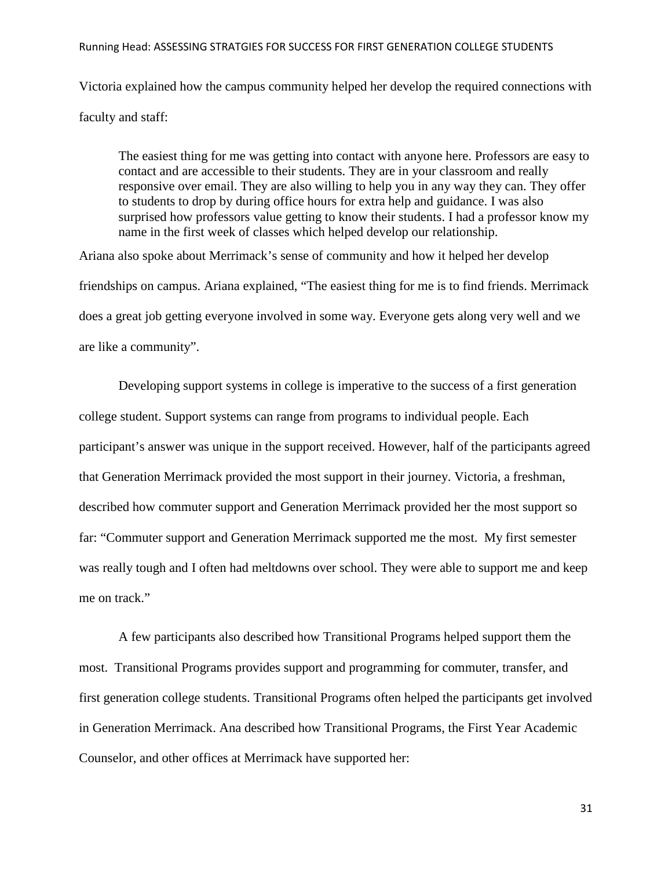Victoria explained how the campus community helped her develop the required connections with faculty and staff:

The easiest thing for me was getting into contact with anyone here. Professors are easy to contact and are accessible to their students. They are in your classroom and really responsive over email. They are also willing to help you in any way they can. They offer to students to drop by during office hours for extra help and guidance. I was also surprised how professors value getting to know their students. I had a professor know my name in the first week of classes which helped develop our relationship.

Ariana also spoke about Merrimack's sense of community and how it helped her develop friendships on campus. Ariana explained, "The easiest thing for me is to find friends. Merrimack does a great job getting everyone involved in some way. Everyone gets along very well and we are like a community".

Developing support systems in college is imperative to the success of a first generation college student. Support systems can range from programs to individual people. Each participant's answer was unique in the support received. However, half of the participants agreed that Generation Merrimack provided the most support in their journey. Victoria, a freshman, described how commuter support and Generation Merrimack provided her the most support so far: "Commuter support and Generation Merrimack supported me the most. My first semester was really tough and I often had meltdowns over school. They were able to support me and keep me on track."

A few participants also described how Transitional Programs helped support them the most. Transitional Programs provides support and programming for commuter, transfer, and first generation college students. Transitional Programs often helped the participants get involved in Generation Merrimack. Ana described how Transitional Programs, the First Year Academic Counselor, and other offices at Merrimack have supported her: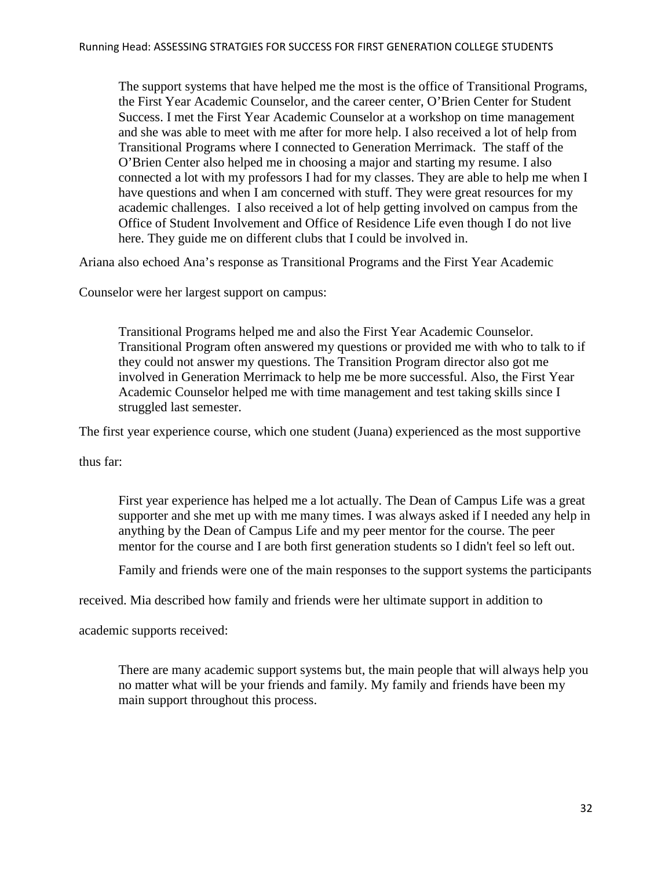The support systems that have helped me the most is the office of Transitional Programs, the First Year Academic Counselor, and the career center, O'Brien Center for Student Success. I met the First Year Academic Counselor at a workshop on time management and she was able to meet with me after for more help. I also received a lot of help from Transitional Programs where I connected to Generation Merrimack. The staff of the O'Brien Center also helped me in choosing a major and starting my resume. I also connected a lot with my professors I had for my classes. They are able to help me when I have questions and when I am concerned with stuff. They were great resources for my academic challenges. I also received a lot of help getting involved on campus from the Office of Student Involvement and Office of Residence Life even though I do not live here. They guide me on different clubs that I could be involved in.

Ariana also echoed Ana's response as Transitional Programs and the First Year Academic

Counselor were her largest support on campus:

Transitional Programs helped me and also the First Year Academic Counselor. Transitional Program often answered my questions or provided me with who to talk to if they could not answer my questions. The Transition Program director also got me involved in Generation Merrimack to help me be more successful. Also, the First Year Academic Counselor helped me with time management and test taking skills since I struggled last semester.

The first year experience course, which one student (Juana) experienced as the most supportive

thus far:

First year experience has helped me a lot actually. The Dean of Campus Life was a great supporter and she met up with me many times. I was always asked if I needed any help in anything by the Dean of Campus Life and my peer mentor for the course. The peer mentor for the course and I are both first generation students so I didn't feel so left out.

Family and friends were one of the main responses to the support systems the participants

received. Mia described how family and friends were her ultimate support in addition to

academic supports received:

There are many academic support systems but, the main people that will always help you no matter what will be your friends and family. My family and friends have been my main support throughout this process.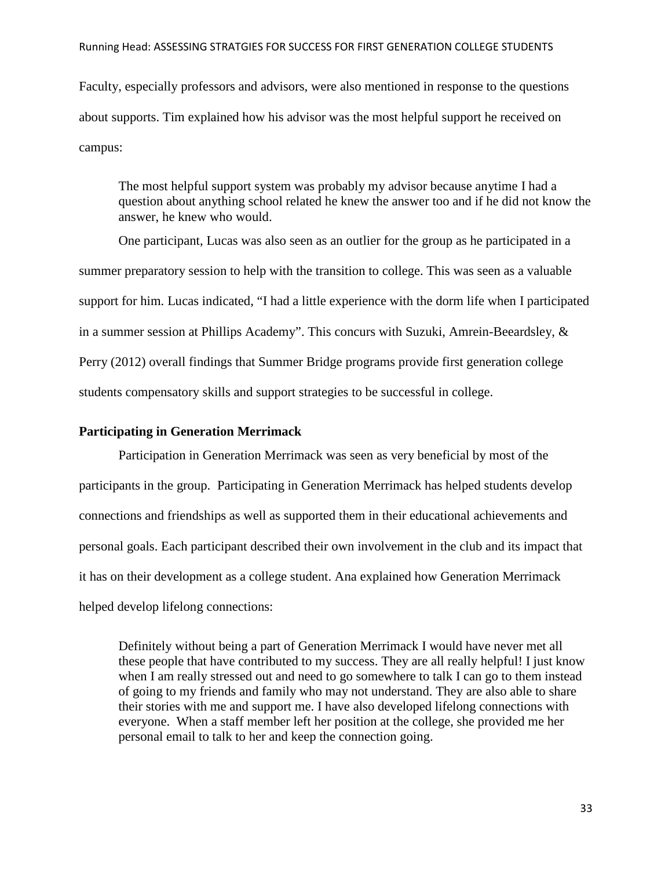Faculty, especially professors and advisors, were also mentioned in response to the questions about supports. Tim explained how his advisor was the most helpful support he received on campus:

The most helpful support system was probably my advisor because anytime I had a question about anything school related he knew the answer too and if he did not know the answer, he knew who would.

One participant, Lucas was also seen as an outlier for the group as he participated in a summer preparatory session to help with the transition to college. This was seen as a valuable support for him. Lucas indicated, "I had a little experience with the dorm life when I participated in a summer session at Phillips Academy". This concurs with Suzuki, Amrein-Beeardsley, & Perry (2012) overall findings that Summer Bridge programs provide first generation college students compensatory skills and support strategies to be successful in college.

## **Participating in Generation Merrimack**

Participation in Generation Merrimack was seen as very beneficial by most of the participants in the group. Participating in Generation Merrimack has helped students develop connections and friendships as well as supported them in their educational achievements and personal goals. Each participant described their own involvement in the club and its impact that it has on their development as a college student. Ana explained how Generation Merrimack helped develop lifelong connections:

Definitely without being a part of Generation Merrimack I would have never met all these people that have contributed to my success. They are all really helpful! I just know when I am really stressed out and need to go somewhere to talk I can go to them instead of going to my friends and family who may not understand. They are also able to share their stories with me and support me. I have also developed lifelong connections with everyone. When a staff member left her position at the college, she provided me her personal email to talk to her and keep the connection going.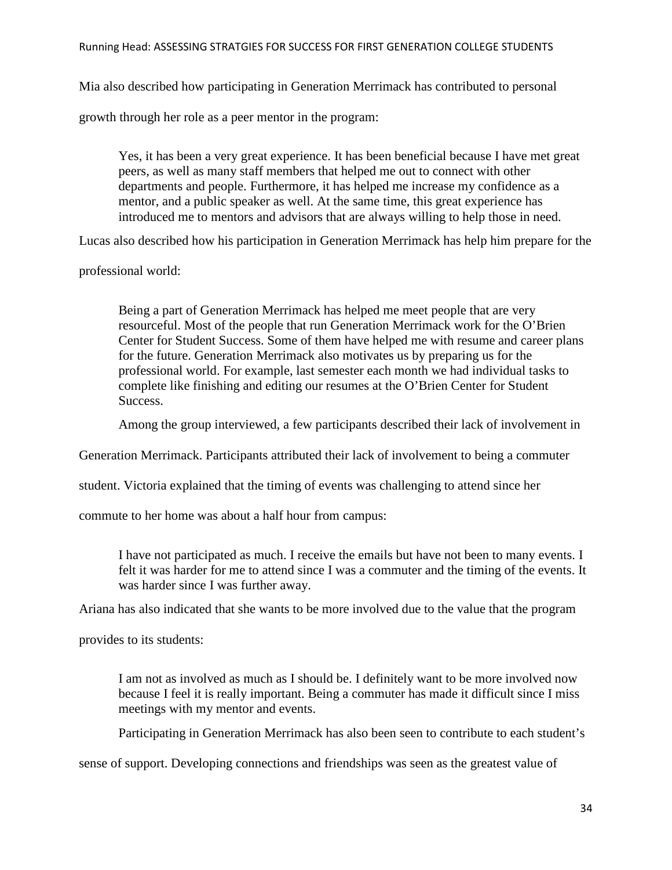Mia also described how participating in Generation Merrimack has contributed to personal

growth through her role as a peer mentor in the program:

Yes, it has been a very great experience. It has been beneficial because I have met great peers, as well as many staff members that helped me out to connect with other departments and people. Furthermore, it has helped me increase my confidence as a mentor, and a public speaker as well. At the same time, this great experience has introduced me to mentors and advisors that are always willing to help those in need.

Lucas also described how his participation in Generation Merrimack has help him prepare for the

professional world:

Being a part of Generation Merrimack has helped me meet people that are very resourceful. Most of the people that run Generation Merrimack work for the O'Brien Center for Student Success. Some of them have helped me with resume and career plans for the future. Generation Merrimack also motivates us by preparing us for the professional world. For example, last semester each month we had individual tasks to complete like finishing and editing our resumes at the O'Brien Center for Student Success.

Among the group interviewed, a few participants described their lack of involvement in

Generation Merrimack. Participants attributed their lack of involvement to being a commuter

student. Victoria explained that the timing of events was challenging to attend since her

commute to her home was about a half hour from campus:

I have not participated as much. I receive the emails but have not been to many events. I felt it was harder for me to attend since I was a commuter and the timing of the events. It was harder since I was further away.

Ariana has also indicated that she wants to be more involved due to the value that the program

provides to its students:

I am not as involved as much as I should be. I definitely want to be more involved now because I feel it is really important. Being a commuter has made it difficult since I miss meetings with my mentor and events.

Participating in Generation Merrimack has also been seen to contribute to each student's

sense of support. Developing connections and friendships was seen as the greatest value of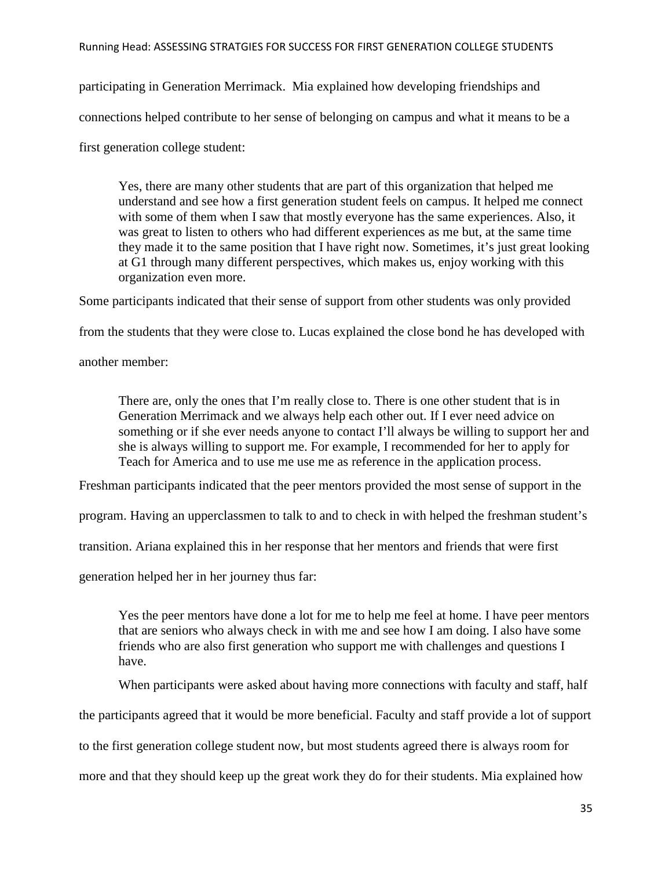participating in Generation Merrimack. Mia explained how developing friendships and connections helped contribute to her sense of belonging on campus and what it means to be a

first generation college student:

Yes, there are many other students that are part of this organization that helped me understand and see how a first generation student feels on campus. It helped me connect with some of them when I saw that mostly everyone has the same experiences. Also, it was great to listen to others who had different experiences as me but, at the same time they made it to the same position that I have right now. Sometimes, it's just great looking at G1 through many different perspectives, which makes us, enjoy working with this organization even more.

Some participants indicated that their sense of support from other students was only provided

from the students that they were close to. Lucas explained the close bond he has developed with

another member:

There are, only the ones that I'm really close to. There is one other student that is in Generation Merrimack and we always help each other out. If I ever need advice on something or if she ever needs anyone to contact I'll always be willing to support her and she is always willing to support me. For example, I recommended for her to apply for Teach for America and to use me use me as reference in the application process.

Freshman participants indicated that the peer mentors provided the most sense of support in the

program. Having an upperclassmen to talk to and to check in with helped the freshman student's

transition. Ariana explained this in her response that her mentors and friends that were first

generation helped her in her journey thus far:

Yes the peer mentors have done a lot for me to help me feel at home. I have peer mentors that are seniors who always check in with me and see how I am doing. I also have some friends who are also first generation who support me with challenges and questions I have.

When participants were asked about having more connections with faculty and staff, half

the participants agreed that it would be more beneficial. Faculty and staff provide a lot of support

to the first generation college student now, but most students agreed there is always room for

more and that they should keep up the great work they do for their students. Mia explained how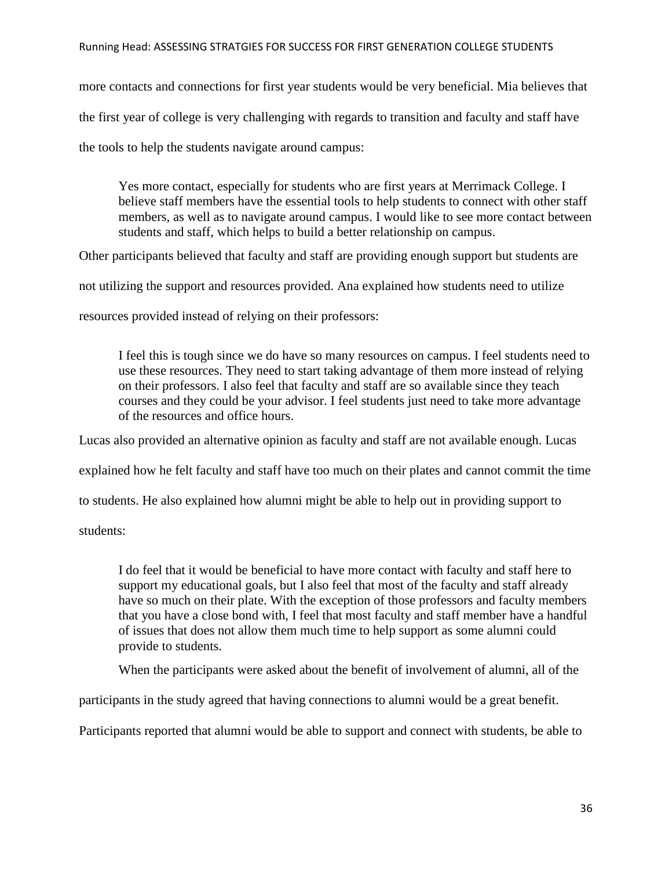more contacts and connections for first year students would be very beneficial. Mia believes that the first year of college is very challenging with regards to transition and faculty and staff have the tools to help the students navigate around campus:

Yes more contact, especially for students who are first years at Merrimack College. I believe staff members have the essential tools to help students to connect with other staff members, as well as to navigate around campus. I would like to see more contact between students and staff, which helps to build a better relationship on campus.

Other participants believed that faculty and staff are providing enough support but students are

not utilizing the support and resources provided. Ana explained how students need to utilize

resources provided instead of relying on their professors:

I feel this is tough since we do have so many resources on campus. I feel students need to use these resources. They need to start taking advantage of them more instead of relying on their professors. I also feel that faculty and staff are so available since they teach courses and they could be your advisor. I feel students just need to take more advantage of the resources and office hours.

Lucas also provided an alternative opinion as faculty and staff are not available enough. Lucas

explained how he felt faculty and staff have too much on their plates and cannot commit the time

to students. He also explained how alumni might be able to help out in providing support to

students:

I do feel that it would be beneficial to have more contact with faculty and staff here to support my educational goals, but I also feel that most of the faculty and staff already have so much on their plate. With the exception of those professors and faculty members that you have a close bond with, I feel that most faculty and staff member have a handful of issues that does not allow them much time to help support as some alumni could provide to students.

When the participants were asked about the benefit of involvement of alumni, all of the

participants in the study agreed that having connections to alumni would be a great benefit.

Participants reported that alumni would be able to support and connect with students, be able to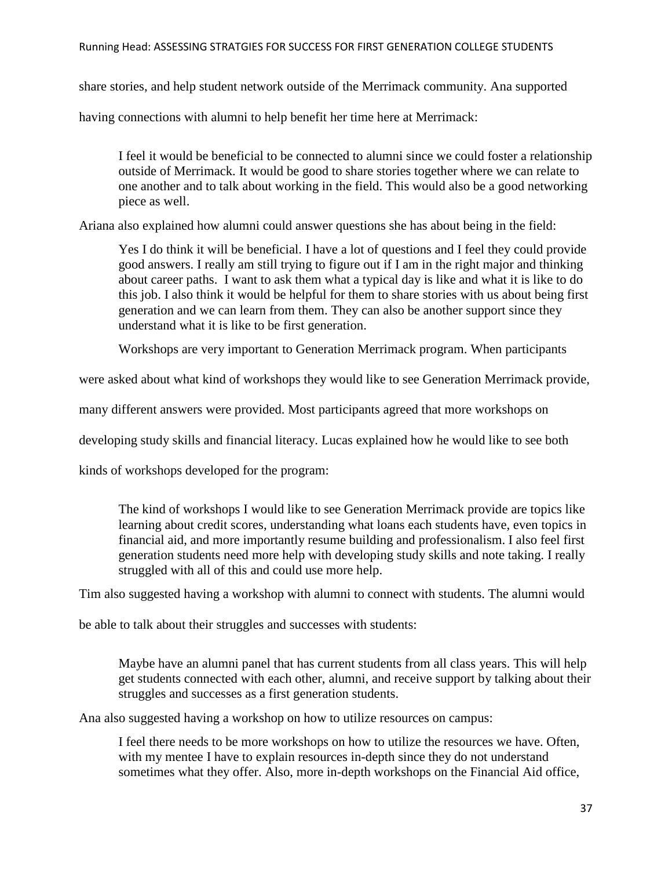share stories, and help student network outside of the Merrimack community. Ana supported

having connections with alumni to help benefit her time here at Merrimack:

I feel it would be beneficial to be connected to alumni since we could foster a relationship outside of Merrimack. It would be good to share stories together where we can relate to one another and to talk about working in the field. This would also be a good networking piece as well.

Ariana also explained how alumni could answer questions she has about being in the field:

Yes I do think it will be beneficial. I have a lot of questions and I feel they could provide good answers. I really am still trying to figure out if I am in the right major and thinking about career paths. I want to ask them what a typical day is like and what it is like to do this job. I also think it would be helpful for them to share stories with us about being first generation and we can learn from them. They can also be another support since they understand what it is like to be first generation.

Workshops are very important to Generation Merrimack program. When participants

were asked about what kind of workshops they would like to see Generation Merrimack provide,

many different answers were provided. Most participants agreed that more workshops on

developing study skills and financial literacy. Lucas explained how he would like to see both

kinds of workshops developed for the program:

The kind of workshops I would like to see Generation Merrimack provide are topics like learning about credit scores, understanding what loans each students have, even topics in financial aid, and more importantly resume building and professionalism. I also feel first generation students need more help with developing study skills and note taking. I really struggled with all of this and could use more help.

Tim also suggested having a workshop with alumni to connect with students. The alumni would

be able to talk about their struggles and successes with students:

Maybe have an alumni panel that has current students from all class years. This will help get students connected with each other, alumni, and receive support by talking about their struggles and successes as a first generation students.

Ana also suggested having a workshop on how to utilize resources on campus:

I feel there needs to be more workshops on how to utilize the resources we have. Often, with my mentee I have to explain resources in-depth since they do not understand sometimes what they offer. Also, more in-depth workshops on the Financial Aid office,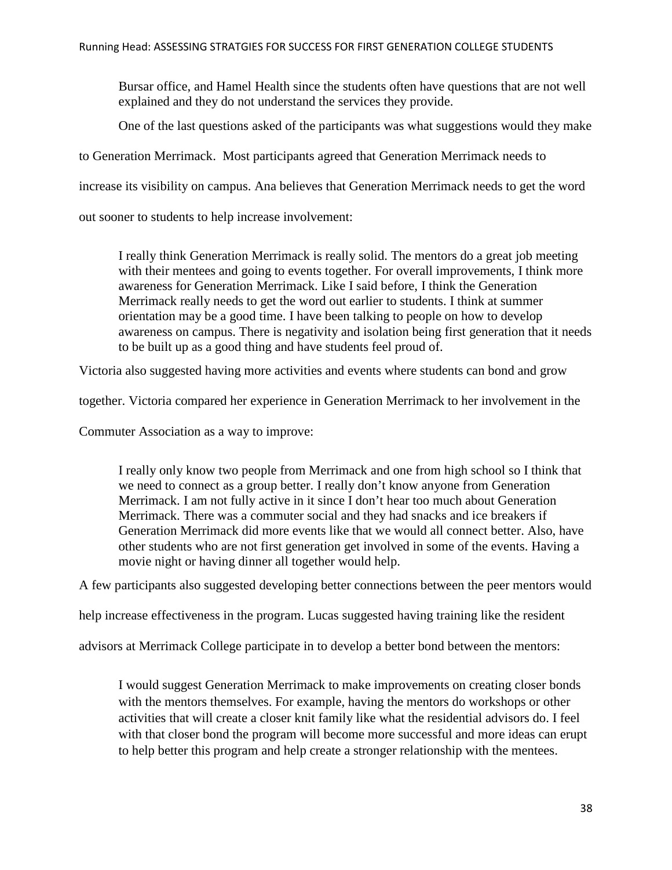Bursar office, and Hamel Health since the students often have questions that are not well explained and they do not understand the services they provide.

One of the last questions asked of the participants was what suggestions would they make

to Generation Merrimack. Most participants agreed that Generation Merrimack needs to

increase its visibility on campus. Ana believes that Generation Merrimack needs to get the word

out sooner to students to help increase involvement:

I really think Generation Merrimack is really solid. The mentors do a great job meeting with their mentees and going to events together. For overall improvements, I think more awareness for Generation Merrimack. Like I said before, I think the Generation Merrimack really needs to get the word out earlier to students. I think at summer orientation may be a good time. I have been talking to people on how to develop awareness on campus. There is negativity and isolation being first generation that it needs to be built up as a good thing and have students feel proud of.

Victoria also suggested having more activities and events where students can bond and grow

together. Victoria compared her experience in Generation Merrimack to her involvement in the

Commuter Association as a way to improve:

I really only know two people from Merrimack and one from high school so I think that we need to connect as a group better. I really don't know anyone from Generation Merrimack. I am not fully active in it since I don't hear too much about Generation Merrimack. There was a commuter social and they had snacks and ice breakers if Generation Merrimack did more events like that we would all connect better. Also, have other students who are not first generation get involved in some of the events. Having a movie night or having dinner all together would help.

A few participants also suggested developing better connections between the peer mentors would

help increase effectiveness in the program. Lucas suggested having training like the resident

advisors at Merrimack College participate in to develop a better bond between the mentors:

I would suggest Generation Merrimack to make improvements on creating closer bonds with the mentors themselves. For example, having the mentors do workshops or other activities that will create a closer knit family like what the residential advisors do. I feel with that closer bond the program will become more successful and more ideas can erupt to help better this program and help create a stronger relationship with the mentees.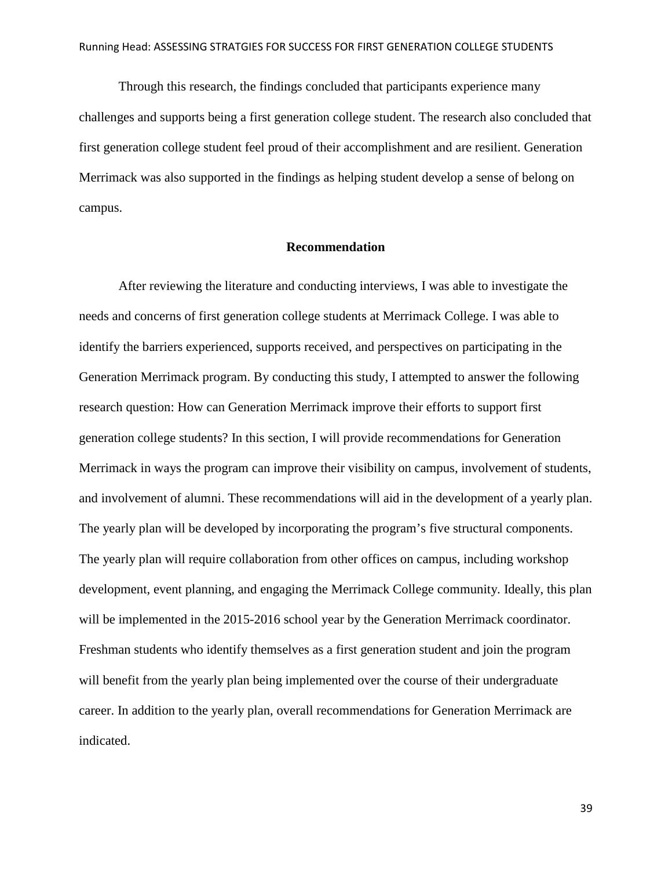Through this research, the findings concluded that participants experience many challenges and supports being a first generation college student. The research also concluded that first generation college student feel proud of their accomplishment and are resilient. Generation Merrimack was also supported in the findings as helping student develop a sense of belong on campus.

#### **Recommendation**

After reviewing the literature and conducting interviews, I was able to investigate the needs and concerns of first generation college students at Merrimack College. I was able to identify the barriers experienced, supports received, and perspectives on participating in the Generation Merrimack program. By conducting this study, I attempted to answer the following research question: How can Generation Merrimack improve their efforts to support first generation college students? In this section, I will provide recommendations for Generation Merrimack in ways the program can improve their visibility on campus, involvement of students, and involvement of alumni. These recommendations will aid in the development of a yearly plan. The yearly plan will be developed by incorporating the program's five structural components. The yearly plan will require collaboration from other offices on campus, including workshop development, event planning, and engaging the Merrimack College community. Ideally, this plan will be implemented in the 2015-2016 school year by the Generation Merrimack coordinator. Freshman students who identify themselves as a first generation student and join the program will benefit from the yearly plan being implemented over the course of their undergraduate career. In addition to the yearly plan, overall recommendations for Generation Merrimack are indicated.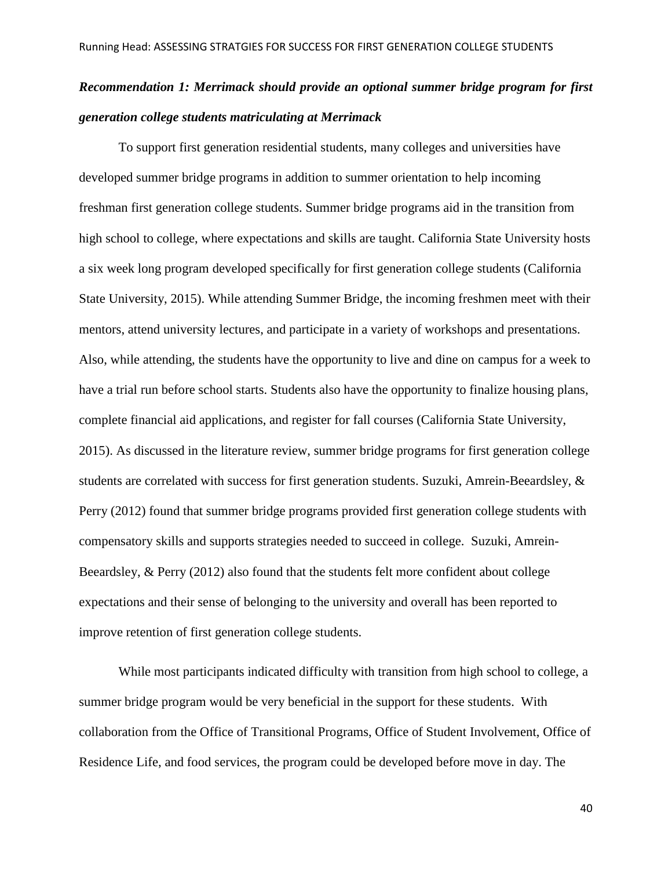# *Recommendation 1: Merrimack should provide an optional summer bridge program for first generation college students matriculating at Merrimack*

To support first generation residential students, many colleges and universities have developed summer bridge programs in addition to summer orientation to help incoming freshman first generation college students. Summer bridge programs aid in the transition from high school to college, where expectations and skills are taught. California State University hosts a six week long program developed specifically for first generation college students (California State University, 2015). While attending Summer Bridge, the incoming freshmen meet with their mentors, attend university lectures, and participate in a variety of workshops and presentations. Also, while attending, the students have the opportunity to live and dine on campus for a week to have a trial run before school starts. Students also have the opportunity to finalize housing plans, complete financial aid applications, and register for fall courses (California State University, 2015). As discussed in the literature review, summer bridge programs for first generation college students are correlated with success for first generation students. Suzuki, Amrein-Beeardsley, & Perry (2012) found that summer bridge programs provided first generation college students with compensatory skills and supports strategies needed to succeed in college. Suzuki, Amrein-Beeardsley, & Perry (2012) also found that the students felt more confident about college expectations and their sense of belonging to the university and overall has been reported to improve retention of first generation college students.

While most participants indicated difficulty with transition from high school to college, a summer bridge program would be very beneficial in the support for these students. With collaboration from the Office of Transitional Programs, Office of Student Involvement, Office of Residence Life, and food services, the program could be developed before move in day. The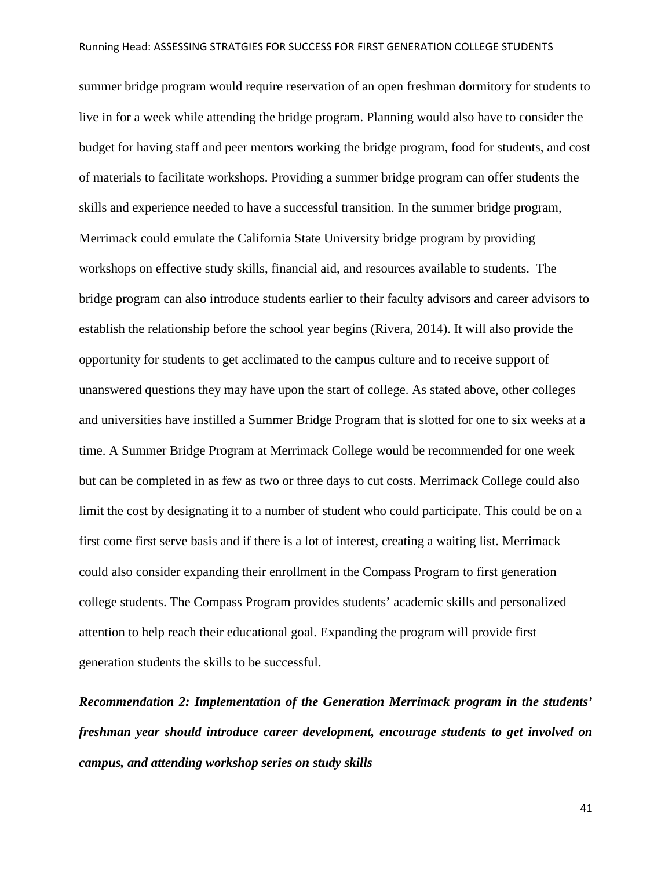summer bridge program would require reservation of an open freshman dormitory for students to live in for a week while attending the bridge program. Planning would also have to consider the budget for having staff and peer mentors working the bridge program, food for students, and cost of materials to facilitate workshops. Providing a summer bridge program can offer students the skills and experience needed to have a successful transition. In the summer bridge program, Merrimack could emulate the California State University bridge program by providing workshops on effective study skills, financial aid, and resources available to students. The bridge program can also introduce students earlier to their faculty advisors and career advisors to establish the relationship before the school year begins (Rivera, 2014). It will also provide the opportunity for students to get acclimated to the campus culture and to receive support of unanswered questions they may have upon the start of college. As stated above, other colleges and universities have instilled a Summer Bridge Program that is slotted for one to six weeks at a time. A Summer Bridge Program at Merrimack College would be recommended for one week but can be completed in as few as two or three days to cut costs. Merrimack College could also limit the cost by designating it to a number of student who could participate. This could be on a first come first serve basis and if there is a lot of interest, creating a waiting list. Merrimack could also consider expanding their enrollment in the Compass Program to first generation college students. The Compass Program provides students' academic skills and personalized attention to help reach their educational goal. Expanding the program will provide first generation students the skills to be successful.

*Recommendation 2: Implementation of the Generation Merrimack program in the students' freshman year should introduce career development, encourage students to get involved on campus, and attending workshop series on study skills*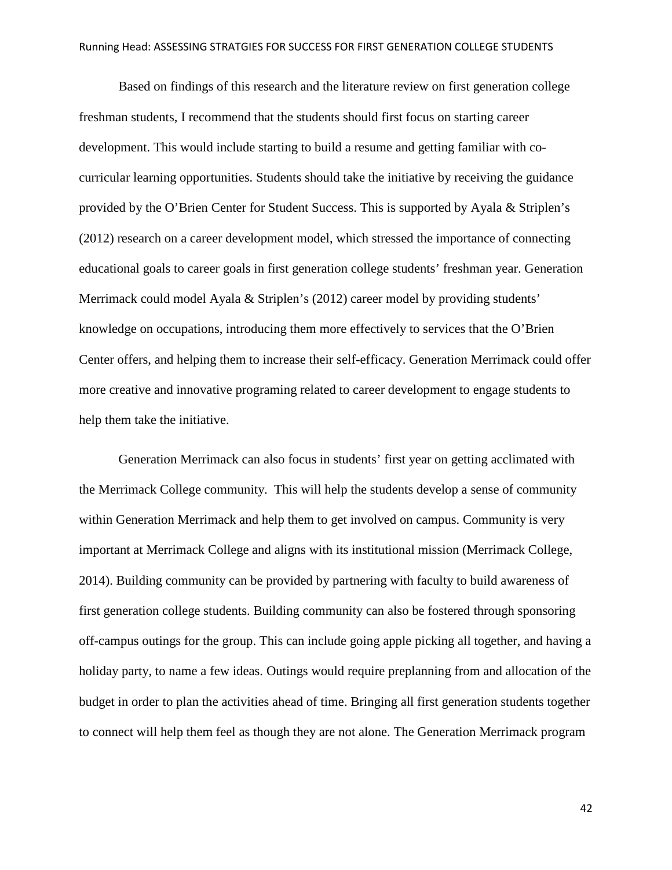Based on findings of this research and the literature review on first generation college freshman students, I recommend that the students should first focus on starting career development. This would include starting to build a resume and getting familiar with cocurricular learning opportunities. Students should take the initiative by receiving the guidance provided by the O'Brien Center for Student Success. This is supported by Ayala & Striplen's (2012) research on a career development model, which stressed the importance of connecting educational goals to career goals in first generation college students' freshman year. Generation Merrimack could model Ayala & Striplen's (2012) career model by providing students' knowledge on occupations, introducing them more effectively to services that the O'Brien Center offers, and helping them to increase their self-efficacy. Generation Merrimack could offer more creative and innovative programing related to career development to engage students to help them take the initiative.

Generation Merrimack can also focus in students' first year on getting acclimated with the Merrimack College community. This will help the students develop a sense of community within Generation Merrimack and help them to get involved on campus. Community is very important at Merrimack College and aligns with its institutional mission (Merrimack College, 2014). Building community can be provided by partnering with faculty to build awareness of first generation college students. Building community can also be fostered through sponsoring off-campus outings for the group. This can include going apple picking all together, and having a holiday party, to name a few ideas. Outings would require preplanning from and allocation of the budget in order to plan the activities ahead of time. Bringing all first generation students together to connect will help them feel as though they are not alone. The Generation Merrimack program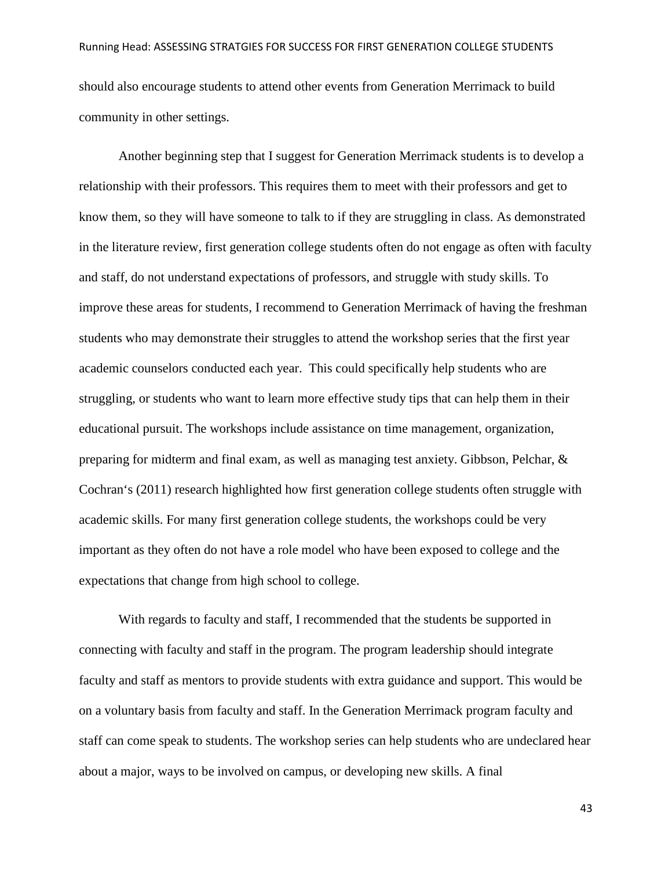should also encourage students to attend other events from Generation Merrimack to build community in other settings.

Another beginning step that I suggest for Generation Merrimack students is to develop a relationship with their professors. This requires them to meet with their professors and get to know them, so they will have someone to talk to if they are struggling in class. As demonstrated in the literature review, first generation college students often do not engage as often with faculty and staff, do not understand expectations of professors, and struggle with study skills. To improve these areas for students, I recommend to Generation Merrimack of having the freshman students who may demonstrate their struggles to attend the workshop series that the first year academic counselors conducted each year. This could specifically help students who are struggling, or students who want to learn more effective study tips that can help them in their educational pursuit. The workshops include assistance on time management, organization, preparing for midterm and final exam, as well as managing test anxiety. Gibbson, Pelchar, & Cochran's (2011) research highlighted how first generation college students often struggle with academic skills. For many first generation college students, the workshops could be very important as they often do not have a role model who have been exposed to college and the expectations that change from high school to college.

With regards to faculty and staff, I recommended that the students be supported in connecting with faculty and staff in the program. The program leadership should integrate faculty and staff as mentors to provide students with extra guidance and support. This would be on a voluntary basis from faculty and staff. In the Generation Merrimack program faculty and staff can come speak to students. The workshop series can help students who are undeclared hear about a major, ways to be involved on campus, or developing new skills. A final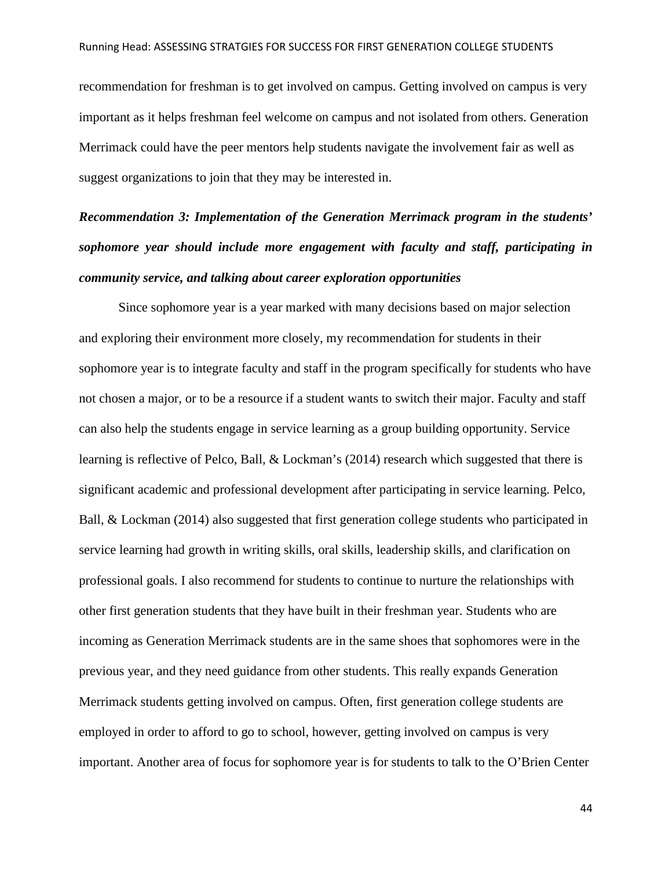recommendation for freshman is to get involved on campus. Getting involved on campus is very important as it helps freshman feel welcome on campus and not isolated from others. Generation Merrimack could have the peer mentors help students navigate the involvement fair as well as suggest organizations to join that they may be interested in.

# *Recommendation 3: Implementation of the Generation Merrimack program in the students' sophomore year should include more engagement with faculty and staff, participating in community service, and talking about career exploration opportunities*

Since sophomore year is a year marked with many decisions based on major selection and exploring their environment more closely, my recommendation for students in their sophomore year is to integrate faculty and staff in the program specifically for students who have not chosen a major, or to be a resource if a student wants to switch their major. Faculty and staff can also help the students engage in service learning as a group building opportunity. Service learning is reflective of Pelco, Ball, & Lockman's (2014) research which suggested that there is significant academic and professional development after participating in service learning. Pelco, Ball, & Lockman (2014) also suggested that first generation college students who participated in service learning had growth in writing skills, oral skills, leadership skills, and clarification on professional goals. I also recommend for students to continue to nurture the relationships with other first generation students that they have built in their freshman year. Students who are incoming as Generation Merrimack students are in the same shoes that sophomores were in the previous year, and they need guidance from other students. This really expands Generation Merrimack students getting involved on campus. Often, first generation college students are employed in order to afford to go to school, however, getting involved on campus is very important. Another area of focus for sophomore year is for students to talk to the O'Brien Center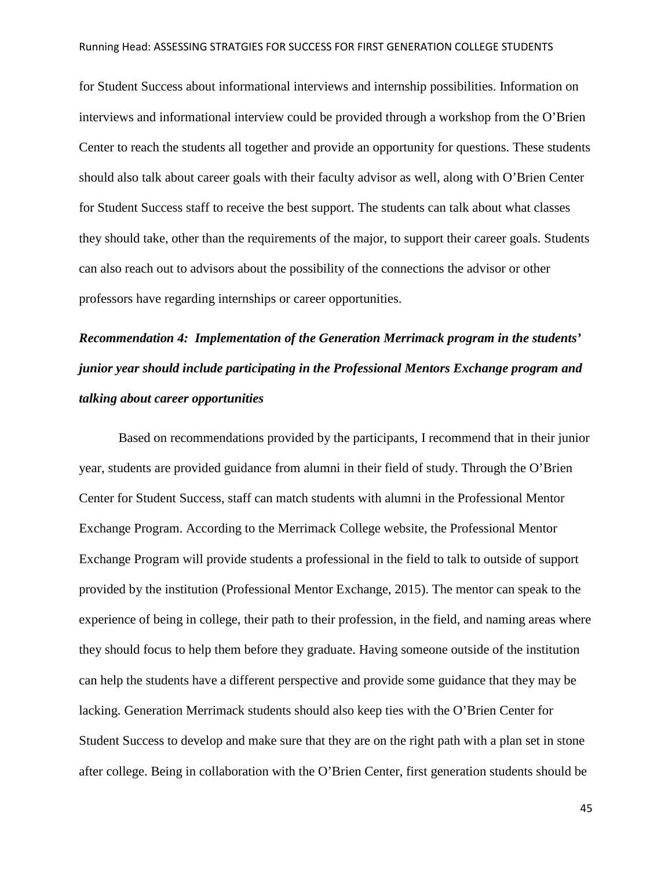for Student Success about informational interviews and internship possibilities. Information on interviews and informational interview could be provided through a workshop from the O'Brien Center to reach the students all together and provide an opportunity for questions. These students should also talk about career goals with their faculty advisor as well, along with O'Brien Center for Student Success staff to receive the best support. The students can talk about what classes they should take, other than the requirements of the major, to support their career goals. Students can also reach out to advisors about the possibility of the connections the advisor or other professors have regarding internships or career opportunities.

# *Recommendation 4: Implementation of the Generation Merrimack program in the students' junior year should include participating in the Professional Mentors Exchange program and talking about career opportunities*

Based on recommendations provided by the participants, I recommend that in their junior year, students are provided guidance from alumni in their field of study. Through the O'Brien Center for Student Success, staff can match students with alumni in the Professional Mentor Exchange Program. According to the Merrimack College website, the Professional Mentor Exchange Program will provide students a professional in the field to talk to outside of support provided by the institution (Professional Mentor Exchange, 2015). The mentor can speak to the experience of being in college, their path to their profession, in the field, and naming areas where they should focus to help them before they graduate. Having someone outside of the institution can help the students have a different perspective and provide some guidance that they may be lacking. Generation Merrimack students should also keep ties with the O'Brien Center for Student Success to develop and make sure that they are on the right path with a plan set in stone after college. Being in collaboration with the O'Brien Center, first generation students should be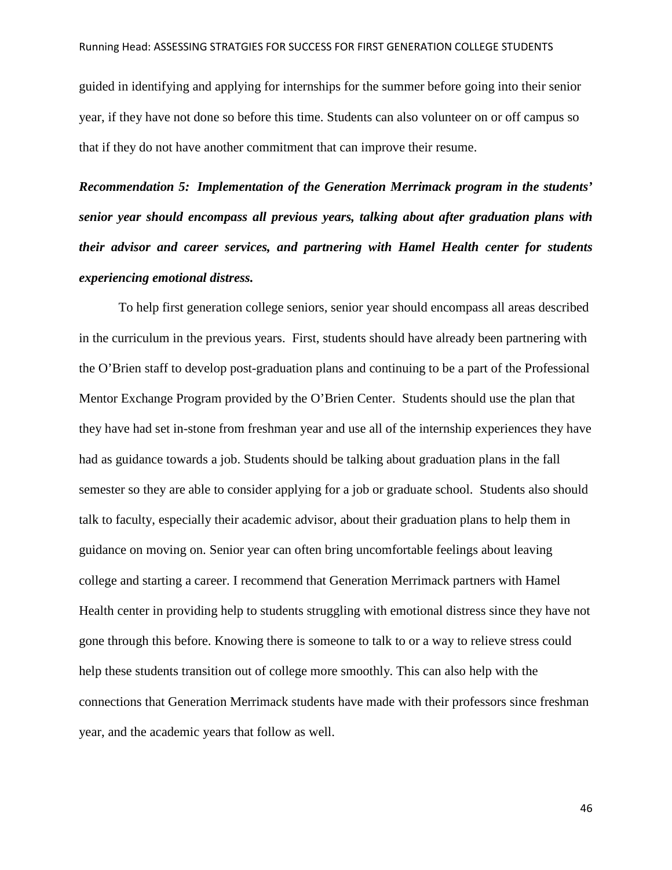guided in identifying and applying for internships for the summer before going into their senior year, if they have not done so before this time. Students can also volunteer on or off campus so that if they do not have another commitment that can improve their resume.

*Recommendation 5: Implementation of the Generation Merrimack program in the students' senior year should encompass all previous years, talking about after graduation plans with their advisor and career services, and partnering with Hamel Health center for students experiencing emotional distress.*

To help first generation college seniors, senior year should encompass all areas described in the curriculum in the previous years. First, students should have already been partnering with the O'Brien staff to develop post-graduation plans and continuing to be a part of the Professional Mentor Exchange Program provided by the O'Brien Center. Students should use the plan that they have had set in-stone from freshman year and use all of the internship experiences they have had as guidance towards a job. Students should be talking about graduation plans in the fall semester so they are able to consider applying for a job or graduate school. Students also should talk to faculty, especially their academic advisor, about their graduation plans to help them in guidance on moving on. Senior year can often bring uncomfortable feelings about leaving college and starting a career. I recommend that Generation Merrimack partners with Hamel Health center in providing help to students struggling with emotional distress since they have not gone through this before. Knowing there is someone to talk to or a way to relieve stress could help these students transition out of college more smoothly. This can also help with the connections that Generation Merrimack students have made with their professors since freshman year, and the academic years that follow as well.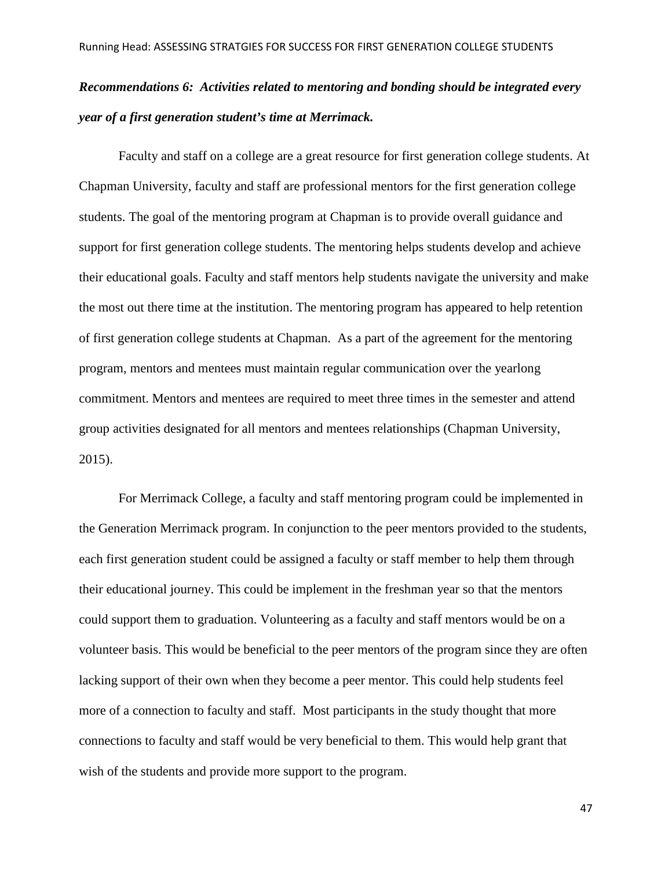# *Recommendations 6: Activities related to mentoring and bonding should be integrated every year of a first generation student's time at Merrimack.*

Faculty and staff on a college are a great resource for first generation college students. At Chapman University, faculty and staff are professional mentors for the first generation college students. The goal of the mentoring program at Chapman is to provide overall guidance and support for first generation college students. The mentoring helps students develop and achieve their educational goals. Faculty and staff mentors help students navigate the university and make the most out there time at the institution. The mentoring program has appeared to help retention of first generation college students at Chapman. As a part of the agreement for the mentoring program, mentors and mentees must maintain regular communication over the yearlong commitment. Mentors and mentees are required to meet three times in the semester and attend group activities designated for all mentors and mentees relationships (Chapman University, 2015).

For Merrimack College, a faculty and staff mentoring program could be implemented in the Generation Merrimack program. In conjunction to the peer mentors provided to the students, each first generation student could be assigned a faculty or staff member to help them through their educational journey. This could be implement in the freshman year so that the mentors could support them to graduation. Volunteering as a faculty and staff mentors would be on a volunteer basis. This would be beneficial to the peer mentors of the program since they are often lacking support of their own when they become a peer mentor. This could help students feel more of a connection to faculty and staff. Most participants in the study thought that more connections to faculty and staff would be very beneficial to them. This would help grant that wish of the students and provide more support to the program.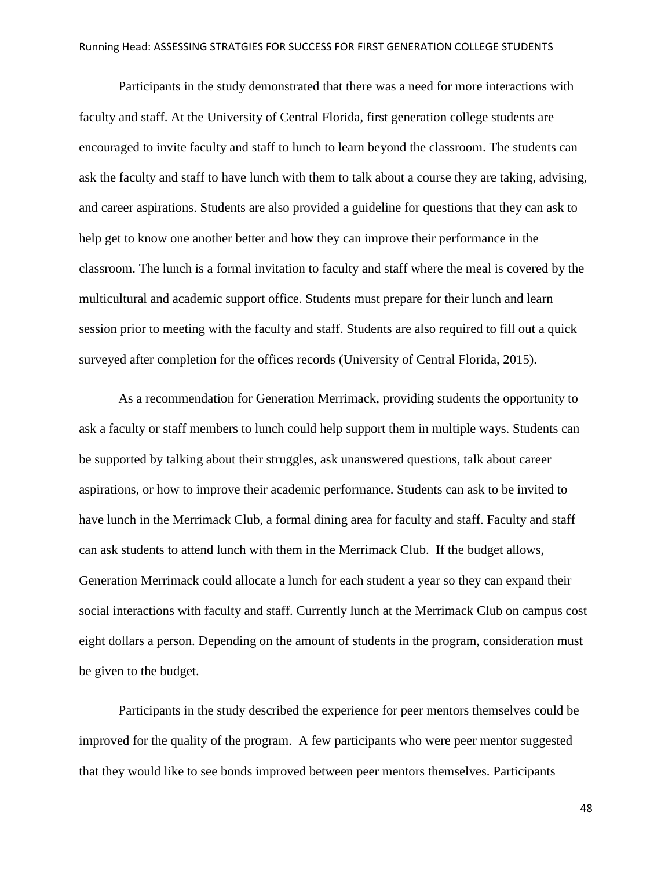Participants in the study demonstrated that there was a need for more interactions with faculty and staff. At the University of Central Florida, first generation college students are encouraged to invite faculty and staff to lunch to learn beyond the classroom. The students can ask the faculty and staff to have lunch with them to talk about a course they are taking, advising, and career aspirations. Students are also provided a guideline for questions that they can ask to help get to know one another better and how they can improve their performance in the classroom. The lunch is a formal invitation to faculty and staff where the meal is covered by the multicultural and academic support office. Students must prepare for their lunch and learn session prior to meeting with the faculty and staff. Students are also required to fill out a quick surveyed after completion for the offices records (University of Central Florida, 2015).

As a recommendation for Generation Merrimack, providing students the opportunity to ask a faculty or staff members to lunch could help support them in multiple ways. Students can be supported by talking about their struggles, ask unanswered questions, talk about career aspirations, or how to improve their academic performance. Students can ask to be invited to have lunch in the Merrimack Club, a formal dining area for faculty and staff. Faculty and staff can ask students to attend lunch with them in the Merrimack Club. If the budget allows, Generation Merrimack could allocate a lunch for each student a year so they can expand their social interactions with faculty and staff. Currently lunch at the Merrimack Club on campus cost eight dollars a person. Depending on the amount of students in the program, consideration must be given to the budget.

Participants in the study described the experience for peer mentors themselves could be improved for the quality of the program. A few participants who were peer mentor suggested that they would like to see bonds improved between peer mentors themselves. Participants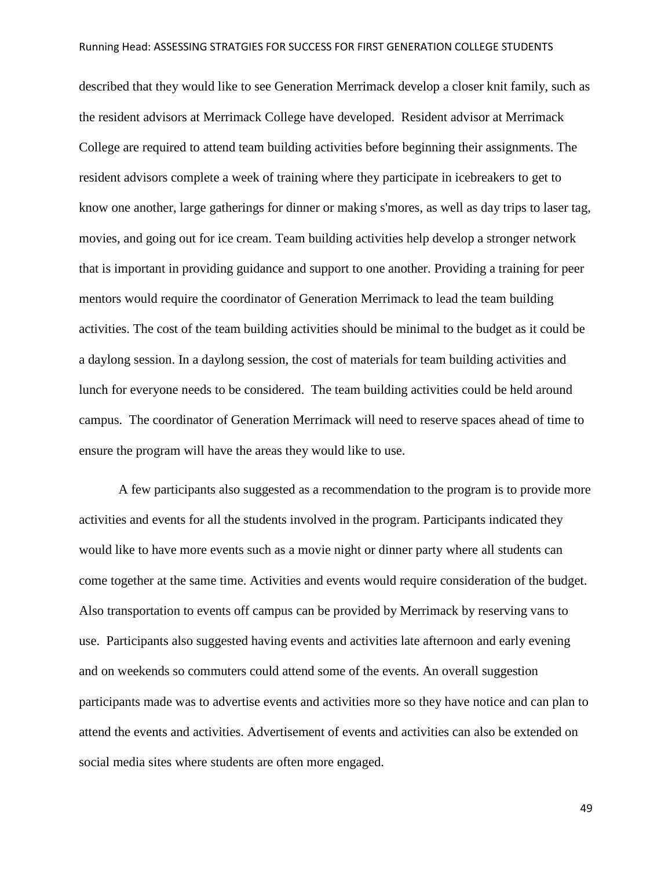described that they would like to see Generation Merrimack develop a closer knit family, such as the resident advisors at Merrimack College have developed. Resident advisor at Merrimack College are required to attend team building activities before beginning their assignments. The resident advisors complete a week of training where they participate in icebreakers to get to know one another, large gatherings for dinner or making s'mores, as well as day trips to laser tag, movies, and going out for ice cream. Team building activities help develop a stronger network that is important in providing guidance and support to one another. Providing a training for peer mentors would require the coordinator of Generation Merrimack to lead the team building activities. The cost of the team building activities should be minimal to the budget as it could be a daylong session. In a daylong session, the cost of materials for team building activities and lunch for everyone needs to be considered. The team building activities could be held around campus. The coordinator of Generation Merrimack will need to reserve spaces ahead of time to ensure the program will have the areas they would like to use.

A few participants also suggested as a recommendation to the program is to provide more activities and events for all the students involved in the program. Participants indicated they would like to have more events such as a movie night or dinner party where all students can come together at the same time. Activities and events would require consideration of the budget. Also transportation to events off campus can be provided by Merrimack by reserving vans to use. Participants also suggested having events and activities late afternoon and early evening and on weekends so commuters could attend some of the events. An overall suggestion participants made was to advertise events and activities more so they have notice and can plan to attend the events and activities. Advertisement of events and activities can also be extended on social media sites where students are often more engaged.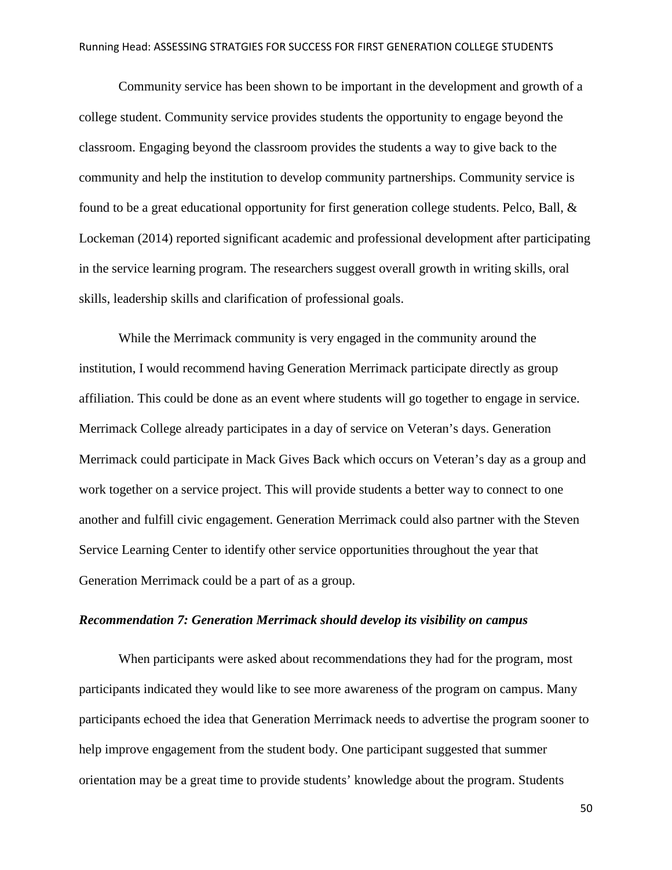Community service has been shown to be important in the development and growth of a college student. Community service provides students the opportunity to engage beyond the classroom. Engaging beyond the classroom provides the students a way to give back to the community and help the institution to develop community partnerships. Community service is found to be a great educational opportunity for first generation college students. Pelco, Ball, & Lockeman (2014) reported significant academic and professional development after participating in the service learning program. The researchers suggest overall growth in writing skills, oral skills, leadership skills and clarification of professional goals.

While the Merrimack community is very engaged in the community around the institution, I would recommend having Generation Merrimack participate directly as group affiliation. This could be done as an event where students will go together to engage in service. Merrimack College already participates in a day of service on Veteran's days. Generation Merrimack could participate in Mack Gives Back which occurs on Veteran's day as a group and work together on a service project. This will provide students a better way to connect to one another and fulfill civic engagement. Generation Merrimack could also partner with the Steven Service Learning Center to identify other service opportunities throughout the year that Generation Merrimack could be a part of as a group.

#### *Recommendation 7: Generation Merrimack should develop its visibility on campus*

When participants were asked about recommendations they had for the program, most participants indicated they would like to see more awareness of the program on campus. Many participants echoed the idea that Generation Merrimack needs to advertise the program sooner to help improve engagement from the student body. One participant suggested that summer orientation may be a great time to provide students' knowledge about the program. Students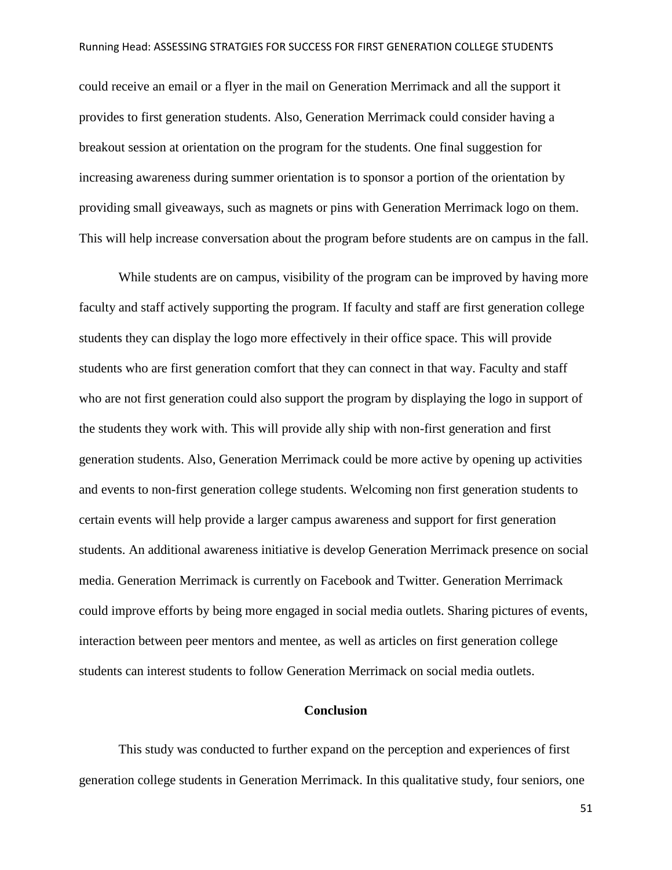could receive an email or a flyer in the mail on Generation Merrimack and all the support it provides to first generation students. Also, Generation Merrimack could consider having a breakout session at orientation on the program for the students. One final suggestion for increasing awareness during summer orientation is to sponsor a portion of the orientation by providing small giveaways, such as magnets or pins with Generation Merrimack logo on them. This will help increase conversation about the program before students are on campus in the fall.

While students are on campus, visibility of the program can be improved by having more faculty and staff actively supporting the program. If faculty and staff are first generation college students they can display the logo more effectively in their office space. This will provide students who are first generation comfort that they can connect in that way. Faculty and staff who are not first generation could also support the program by displaying the logo in support of the students they work with. This will provide ally ship with non-first generation and first generation students. Also, Generation Merrimack could be more active by opening up activities and events to non-first generation college students. Welcoming non first generation students to certain events will help provide a larger campus awareness and support for first generation students. An additional awareness initiative is develop Generation Merrimack presence on social media. Generation Merrimack is currently on Facebook and Twitter. Generation Merrimack could improve efforts by being more engaged in social media outlets. Sharing pictures of events, interaction between peer mentors and mentee, as well as articles on first generation college students can interest students to follow Generation Merrimack on social media outlets.

#### **Conclusion**

This study was conducted to further expand on the perception and experiences of first generation college students in Generation Merrimack. In this qualitative study, four seniors, one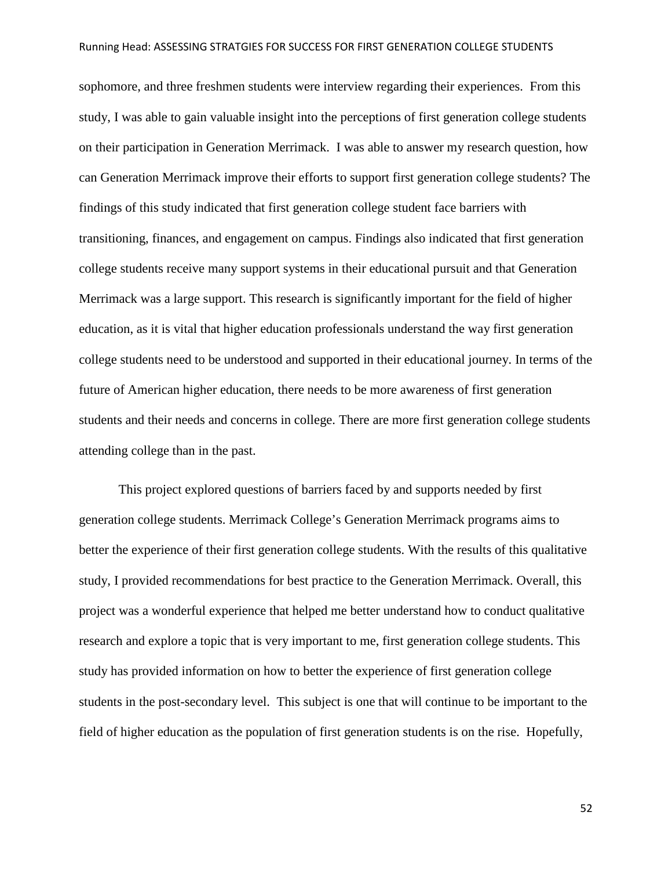sophomore, and three freshmen students were interview regarding their experiences. From this study, I was able to gain valuable insight into the perceptions of first generation college students on their participation in Generation Merrimack. I was able to answer my research question, how can Generation Merrimack improve their efforts to support first generation college students? The findings of this study indicated that first generation college student face barriers with transitioning, finances, and engagement on campus. Findings also indicated that first generation college students receive many support systems in their educational pursuit and that Generation Merrimack was a large support. This research is significantly important for the field of higher education, as it is vital that higher education professionals understand the way first generation college students need to be understood and supported in their educational journey. In terms of the future of American higher education, there needs to be more awareness of first generation students and their needs and concerns in college. There are more first generation college students attending college than in the past.

This project explored questions of barriers faced by and supports needed by first generation college students. Merrimack College's Generation Merrimack programs aims to better the experience of their first generation college students. With the results of this qualitative study, I provided recommendations for best practice to the Generation Merrimack. Overall, this project was a wonderful experience that helped me better understand how to conduct qualitative research and explore a topic that is very important to me, first generation college students. This study has provided information on how to better the experience of first generation college students in the post-secondary level. This subject is one that will continue to be important to the field of higher education as the population of first generation students is on the rise. Hopefully,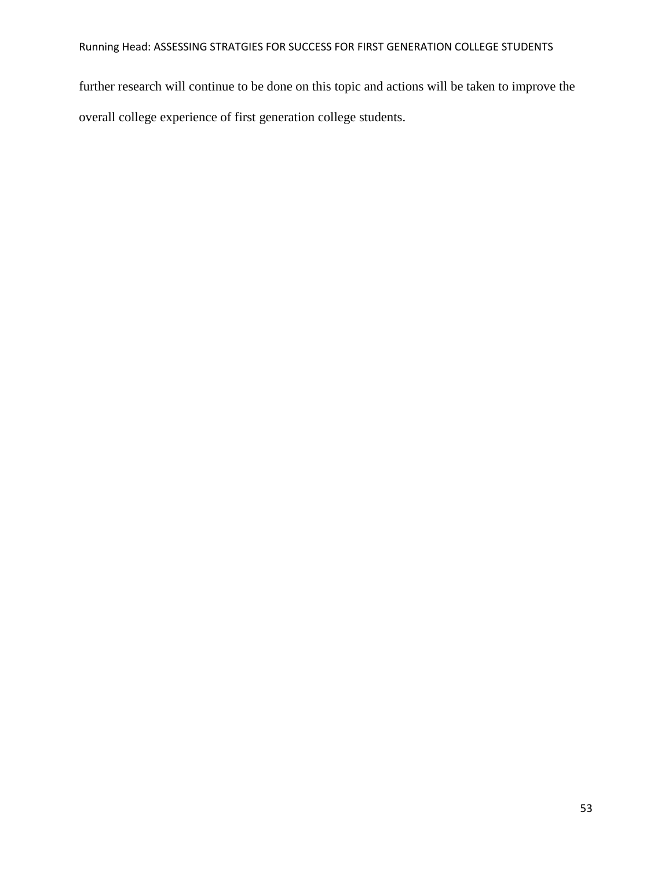further research will continue to be done on this topic and actions will be taken to improve the overall college experience of first generation college students.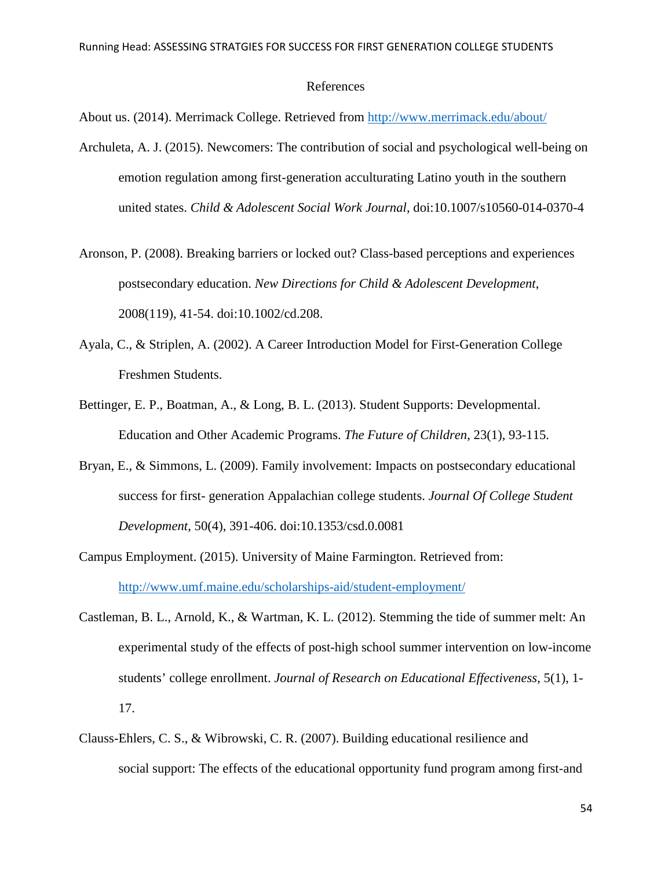#### References

About us. (2014). Merrimack College. Retrieved from<http://www.merrimack.edu/about/>

- Archuleta, A. J. (2015). Newcomers: The contribution of social and psychological well-being on emotion regulation among first-generation acculturating Latino youth in the southern united states. *Child & Adolescent Social Work Journal*, doi:10.1007/s10560-014-0370-4
- Aronson, P. (2008). Breaking barriers or locked out? Class-based perceptions and experiences postsecondary education. *New Directions for Child & Adolescent Development*, 2008(119), 41-54. doi:10.1002/cd.208.
- Ayala, C., & Striplen, A. (2002). A Career Introduction Model for First-Generation College Freshmen Students.
- Bettinger, E. P., Boatman, A., & Long, B. L. (2013). Student Supports: Developmental. Education and Other Academic Programs. *The Future of Children*, 23(1), 93-115.
- Bryan, E., & Simmons, L. (2009). Family involvement: Impacts on postsecondary educational success for first- generation Appalachian college students. *Journal Of College Student Development*, 50(4), 391-406. doi:10.1353/csd.0.0081
- Campus Employment. (2015). University of Maine Farmington. Retrieved from: <http://www.umf.maine.edu/scholarships-aid/student-employment/>
- Castleman, B. L., Arnold, K., & Wartman, K. L. (2012). Stemming the tide of summer melt: An experimental study of the effects of post-high school summer intervention on low-income students' college enrollment. *Journal of Research on Educational Effectiveness*, 5(1), 1- 17.
- Clauss-Ehlers, C. S., & Wibrowski, C. R. (2007). Building educational resilience and social support: The effects of the educational opportunity fund program among first-and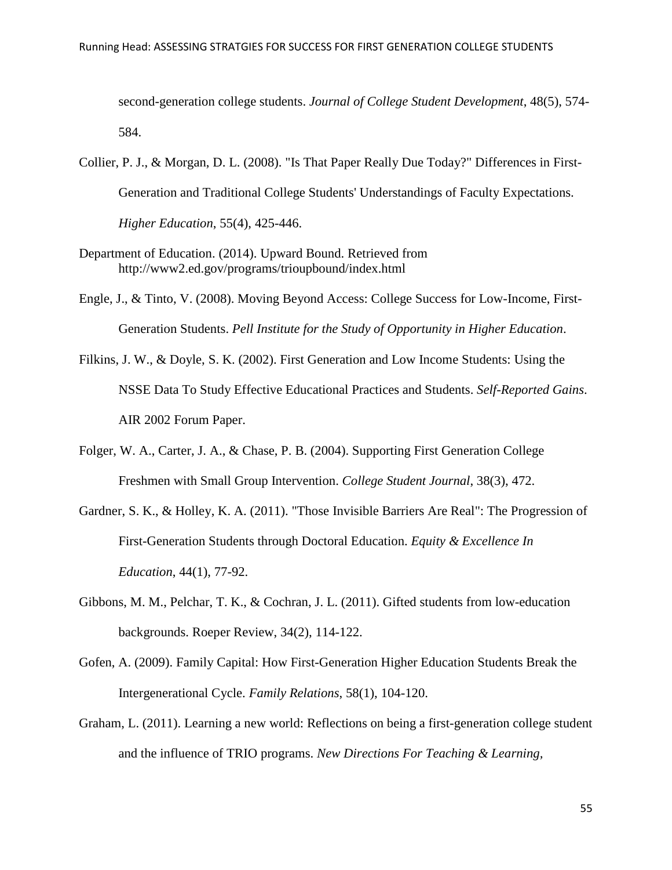second-generation college students. *Journal of College Student Development*, 48(5), 574- 584.

- Collier, P. J., & Morgan, D. L. (2008). "Is That Paper Really Due Today?" Differences in First-Generation and Traditional College Students' Understandings of Faculty Expectations. *Higher Education*, 55(4), 425-446.
- Department of Education. (2014). Upward Bound. Retrieved from http://www2.ed.gov/programs/trioupbound/index.html
- Engle, J., & Tinto, V. (2008). Moving Beyond Access: College Success for Low-Income, First- Generation Students. *Pell Institute for the Study of Opportunity in Higher Education*.
- Filkins, J. W., & Doyle, S. K. (2002). First Generation and Low Income Students: Using the NSSE Data To Study Effective Educational Practices and Students. *Self-Reported Gains*. AIR 2002 Forum Paper.
- Folger, W. A., Carter, J. A., & Chase, P. B. (2004). Supporting First Generation College Freshmen with Small Group Intervention. *College Student Journal*, 38(3), 472.
- Gardner, S. K., & Holley, K. A. (2011). "Those Invisible Barriers Are Real": The Progression of First-Generation Students through Doctoral Education. *Equity & Excellence In Education*, 44(1), 77-92.
- Gibbons, M. M., Pelchar, T. K., & Cochran, J. L. (2011). Gifted students from low-education backgrounds. Roeper Review, 34(2), 114-122.
- Gofen, A. (2009). Family Capital: How First-Generation Higher Education Students Break the Intergenerational Cycle. *Family Relations*, 58(1), 104-120.
- Graham, L. (2011). Learning a new world: Reflections on being a first-generation college student and the influence of TRIO programs. *New Directions For Teaching & Learning,*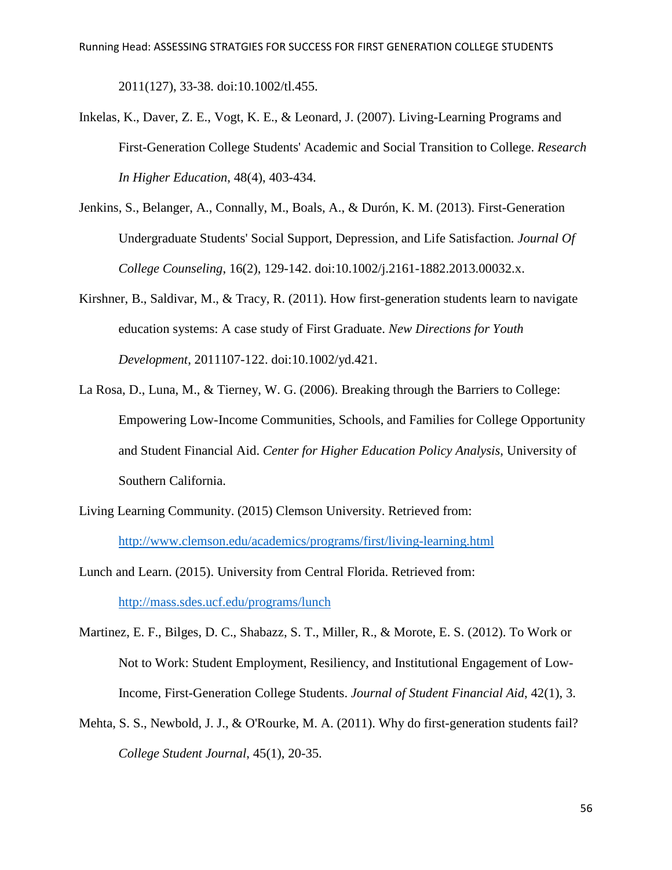2011(127), 33-38. doi:10.1002/tl.455.

- Inkelas, K., Daver, Z. E., Vogt, K. E., & Leonard, J. (2007). Living-Learning Programs and First-Generation College Students' Academic and Social Transition to College. *Research In Higher Education*, 48(4), 403-434.
- Jenkins, S., Belanger, A., Connally, M., Boals, A., & Durón, K. M. (2013). First-Generation Undergraduate Students' Social Support, Depression, and Life Satisfaction*. Journal Of College Counseling*, 16(2), 129-142. doi:10.1002/j.2161-1882.2013.00032.x.
- Kirshner, B., Saldivar, M., & Tracy, R. (2011). How first-generation students learn to navigate education systems: A case study of First Graduate. *New Directions for Youth Development*, 2011107-122. doi:10.1002/yd.421.
- La Rosa, D., Luna, M., & Tierney, W. G. (2006). Breaking through the Barriers to College: Empowering Low-Income Communities, Schools, and Families for College Opportunity and Student Financial Aid. *Center for Higher Education Policy Analysis*, University of Southern California.
- Living Learning Community. (2015) Clemson University. Retrieved from: <http://www.clemson.edu/academics/programs/first/living-learning.html>

Lunch and Learn. (2015). University from Central Florida. Retrieved from: <http://mass.sdes.ucf.edu/programs/lunch>

- Martinez, E. F., Bilges, D. C., Shabazz, S. T., Miller, R., & Morote, E. S. (2012). To Work or Not to Work: Student Employment, Resiliency, and Institutional Engagement of Low-Income, First-Generation College Students. *Journal of Student Financial Aid*, 42(1), 3.
- Mehta, S. S., Newbold, J. J., & O'Rourke, M. A. (2011). Why do first-generation students fail? *College Student Journal*, 45(1), 20-35.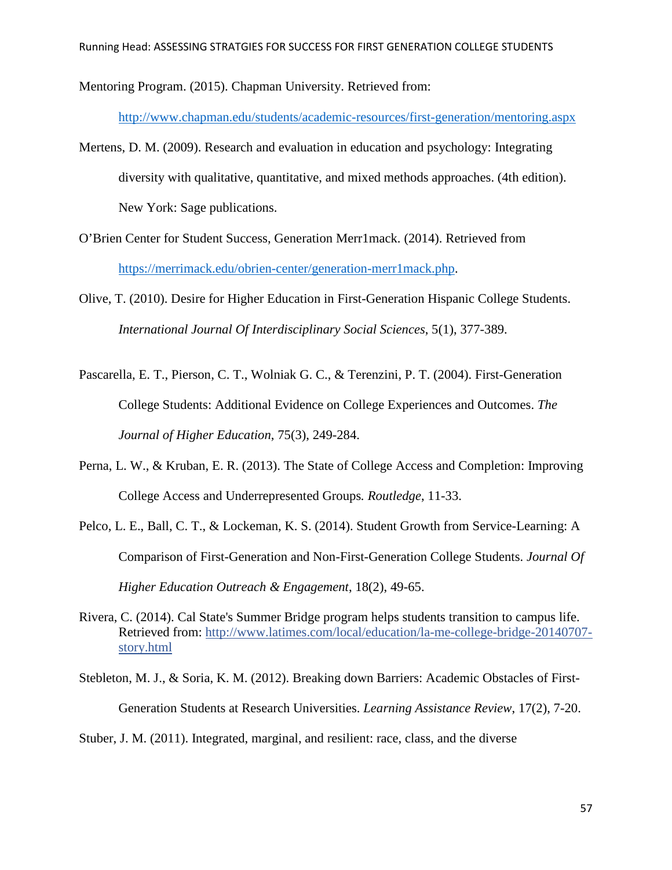Mentoring Program. (2015). Chapman University. Retrieved from:

<http://www.chapman.edu/students/academic-resources/first-generation/mentoring.aspx>

- Mertens, D. M. (2009). Research and evaluation in education and psychology: Integrating diversity with qualitative, quantitative, and mixed methods approaches. (4th edition). New York: Sage publications.
- O'Brien Center for Student Success, Generation Merr1mack. (2014). Retrieved from [https://merrimack.edu/obrien-center/generation-merr1mack.php.](https://merrimack.edu/obrien-center/generation-merr1mack.php)
- Olive, T. (2010). Desire for Higher Education in First-Generation Hispanic College Students. *International Journal Of Interdisciplinary Social Sciences*, 5(1), 377-389.
- Pascarella, E. T., Pierson, C. T., Wolniak G. C., & Terenzini, P. T. (2004). First-Generation College Students: Additional Evidence on College Experiences and Outcomes. *The Journal of Higher Education*, 75(3), 249-284.
- Perna, L. W., & Kruban, E. R. (2013). The State of College Access and Completion: Improving College Access and Underrepresented Groups*. Routledge*, 11-33.
- Pelco, L. E., Ball, C. T., & Lockeman, K. S. (2014). Student Growth from Service-Learning: A Comparison of First-Generation and Non-First-Generation College Students. *Journal Of Higher Education Outreach & Engagement*, 18(2), 49-65.
- Rivera, C. (2014). Cal State's Summer Bridge program helps students transition to campus life. Retrieved from: [http://www.latimes.com/local/education/la-me-college-bridge-20140707](ttp://www.latimes.com/local/education/la-me-college-bridge-20140707-s) [st](ttp://www.latimes.com/local/education/la-me-college-bridge-20140707-s)ory.html
- Stebleton, M. J., & Soria, K. M. (2012). Breaking down Barriers: Academic Obstacles of First- Generation Students at Research Universities. *Learning Assistance Review*, 17(2), 7-20.
- Stuber, J. M. (2011). Integrated, marginal, and resilient: race, class, and the diverse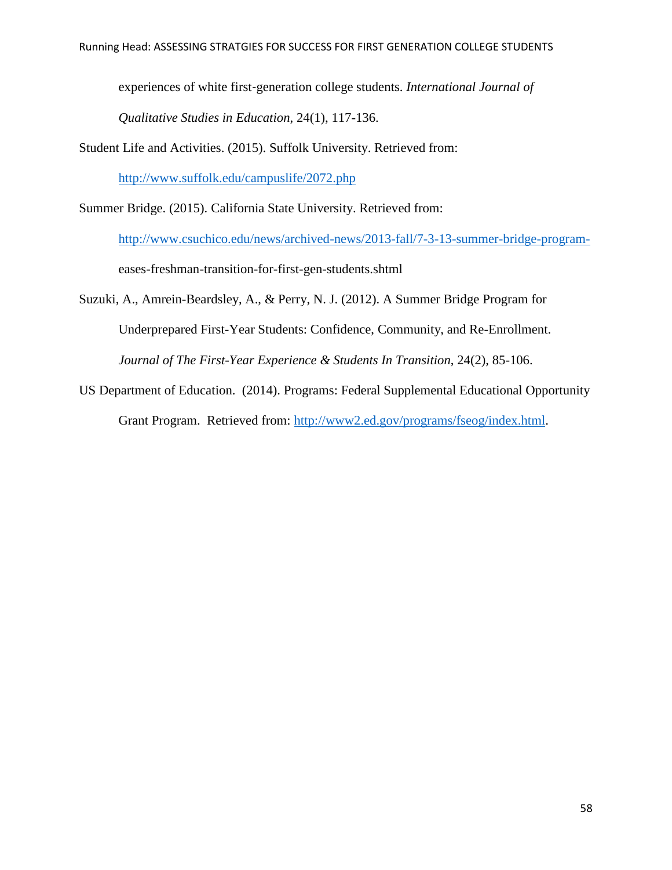experiences of white first‐generation college students. *International Journal of* 

*Qualitative Studies in Education*, 24(1), 117-136.

Student Life and Activities. (2015). Suffolk University. Retrieved from:

<http://www.suffolk.edu/campuslife/2072.php>

Summer Bridge. (2015). California State University. Retrieved from:

<http://www.csuchico.edu/news/archived-news/2013-fall/7-3-13-summer-bridge-program->

eases-freshman-transition-for-first-gen-students.shtml

Suzuki, A., Amrein-Beardsley, A., & Perry, N. J. (2012). A Summer Bridge Program for Underprepared First-Year Students: Confidence, Community, and Re-Enrollment. *Journal of The First-Year Experience & Students In Transition*, 24(2), 85-106.

US Department of Education. (2014). Programs: Federal Supplemental Educational Opportunity Grant Program. Retrieved from: [http://www2.ed.gov/programs/fseog/index.html.](http://www2.ed.gov/programs/fseog/index.html)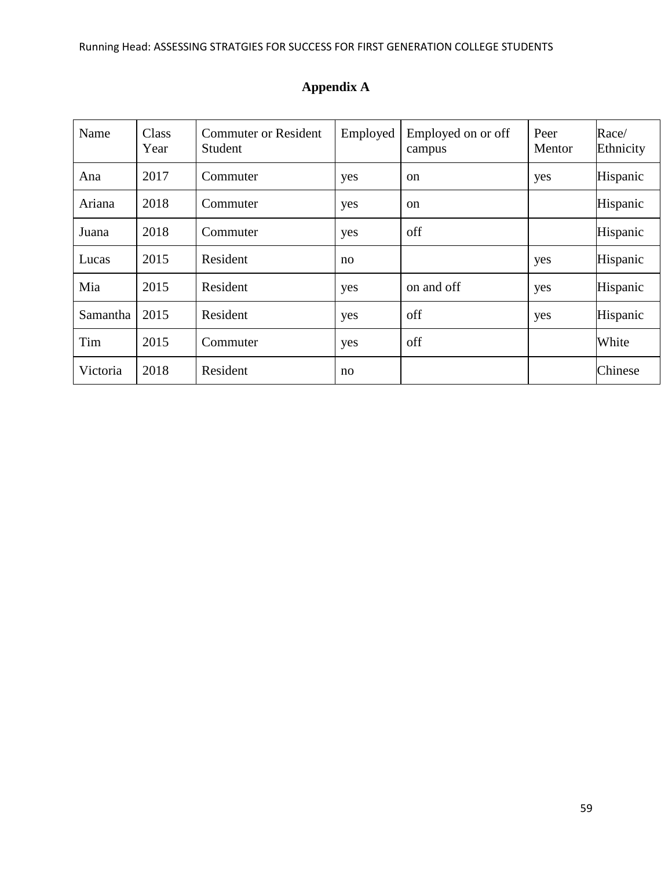| Name     | <b>Class</b><br>Year | <b>Commuter or Resident</b><br>Student | Employed | Employed on or off<br>campus | Peer<br>Mentor | Race/<br>Ethnicity |
|----------|----------------------|----------------------------------------|----------|------------------------------|----------------|--------------------|
| Ana      | 2017                 | Commuter                               | yes      | <sub>on</sub>                | yes            | Hispanic           |
| Ariana   | 2018                 | Commuter                               | yes      | <sub>on</sub>                |                | Hispanic           |
| Juana    | 2018                 | Commuter                               | yes      | off                          |                | Hispanic           |
| Lucas    | 2015                 | Resident                               | no       |                              | yes            | Hispanic           |
| Mia      | 2015                 | Resident                               | yes      | on and off                   | yes            | Hispanic           |
| Samantha | 2015                 | Resident                               | yes      | off                          | yes            | Hispanic           |
| Tim      | 2015                 | Commuter                               | yes      | off                          |                | White              |
| Victoria | 2018                 | Resident                               | no       |                              |                | Chinese            |

# **Appendix A**